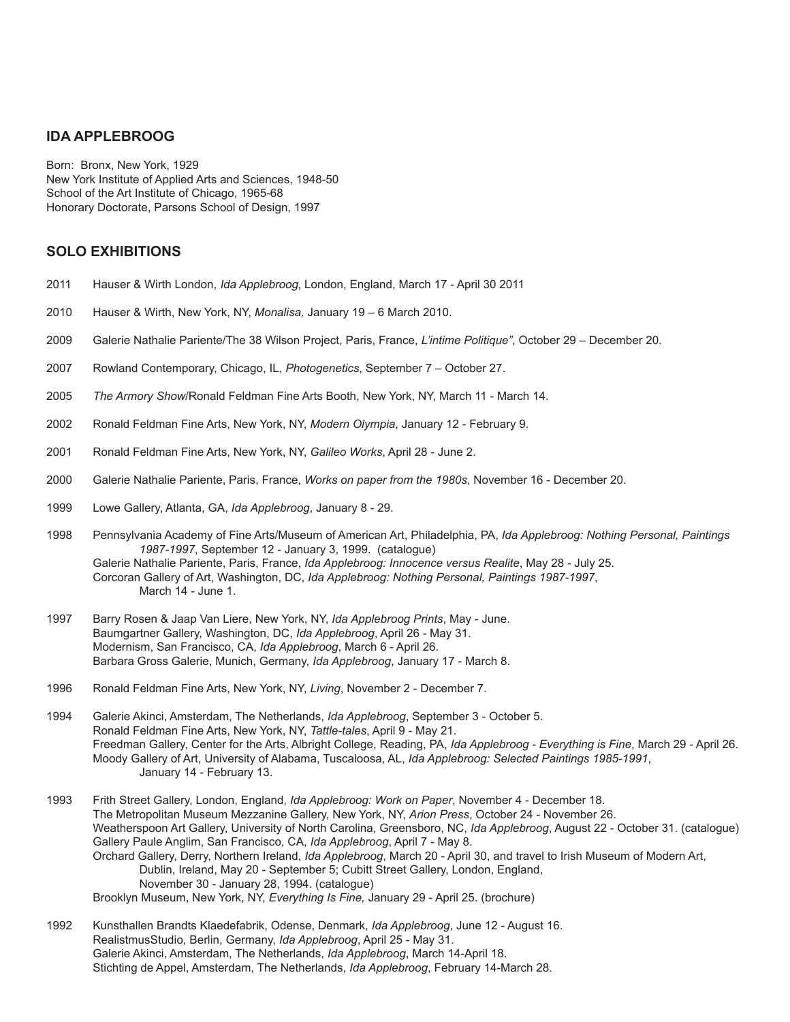### **IDA APPLEBROOG**

Born: Bronx, New York, 1929 New York Institute of Applied Arts and Sciences, 1948-50 School of the Art Institute of Chicago, 1965-68 Honorary Doctorate, Parsons School of Design, 1997

## **SOLO EXHIBITIONS**

- 2011 Hauser & Wirth London, Ida Applebroog, London, England, March 17 April 30 2011
- 2010 Hauser & Wirth, New York, NY, *Monalisa,* January 19 6 March 2010.
- 2009 Galerie Nathalie Pariente/The 38 Wilson Project, Paris, France, *L'intime Politique"*, October 29 December 20.
- 2007 Rowland Contemporary, Chicago, IL, *Photogenetics*, September 7 October 27.
- 2005 *The Armory Show*/Ronald Feldman Fine Arts Booth, New York, NY, March 11 March 14.
- 2002 Ronald Feldman Fine Arts, New York, NY, *Modern Olympia*, January 12 February 9.
- 2001 Ronald Feldman Fine Arts, New York, NY, *Galileo Works*, April 28 June 2.
- 2000 Galerie Nathalie Pariente, Paris, France, *Works on paper from the 1980s*, November 16 December 20.
- 1999 Lowe Gallery, Atlanta, GA, *Ida Applebroog*, January 8 29.
- 1998 Pennsylvania Academy of Fine Arts/Museum of American Art, Philadelphia, PA, *Ida Applebroog: Nothing Personal, Paintings 1987-1997*, September 12 - January 3, 1999. (catalogue) Galerie Nathalie Pariente, Paris, France, *Ida Applebroog: Innocence versus Realite*, May 28 - July 25. Corcoran Gallery of Art, Washington, DC, *Ida Applebroog: Nothing Personal, Paintings 1987-1997*, March 14 - June 1.
- 1997 Barry Rosen & Jaap Van Liere, New York, NY, *Ida Applebroog Prints*, May June. Baumgartner Gallery, Washington, DC, *Ida Applebroog*, April 26 - May 31. Modernism, San Francisco, CA, *Ida Applebroog*, March 6 - April 26. Barbara Gross Galerie, Munich, Germany, *Ida Applebroog*, January 17 - March 8.
- 1996 Ronald Feldman Fine Arts, New York, NY, *Living*, November 2 December 7.
- 1994 Galerie Akinci, Amsterdam, The Netherlands, *Ida Applebroog*, September 3 October 5. Ronald Feldman Fine Arts, New York, NY, *Tattle-tales*, April 9 - May 21. Freedman Gallery, Center for the Arts, Albright College, Reading, PA, *Ida Applebroog - Everything is Fine*, March 29 - April 26. Moody Gallery of Art, University of Alabama, Tuscaloosa, AL, *Ida Applebroog: Selected Paintings 1985-1991*, January 14 - February 13.
- 1993 Frith Street Gallery, London, England, *Ida Applebroog: Work on Paper*, November 4 December 18. The Metropolitan Museum Mezzanine Gallery, New York, NY, *Arion Press*, October 24 - November 26. Weatherspoon Art Gallery, University of North Carolina, Greensboro, NC, *Ida Applebroog*, August 22 - October 31. (catalogue) Gallery Paule Anglim, San Francisco, CA, *Ida Applebroog*, April 7 - May 8. Orchard Gallery, Derry, Northern Ireland, *Ida Applebroog*, March 20 - April 30, and travel to Irish Museum of Modern Art, Dublin, Ireland, May 20 - September 5; Cubitt Street Gallery, London, England, November 30 - January 28, 1994. (catalogue) Brooklyn Museum, New York, NY, *Everything Is Fine,* January 29 - April 25. (brochure)
- 1992 Kunsthallen Brandts Klaedefabrik, Odense, Denmark, *Ida Applebroog*, June 12 August 16. RealistmusStudio, Berlin, Germany, *Ida Applebroog*, April 25 - May 31. Galerie Akinci, Amsterdam, The Netherlands, *Ida Applebroog*, March 14-April 18. Stichting de Appel, Amsterdam, The Netherlands, *Ida Applebroog*, February 14-March 28.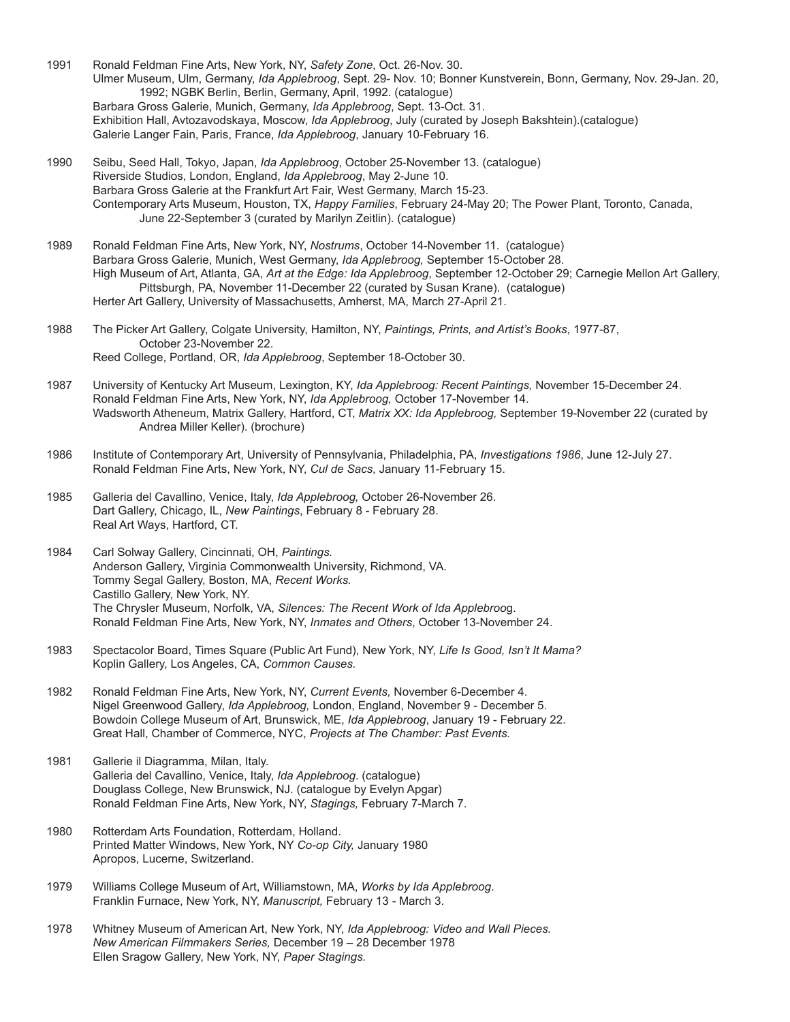1991 Ronald Feldman Fine Arts, New York, NY, *Safety Zone*, Oct. 26-Nov. 30. Ulmer Museum, Ulm, Germany, *Ida Applebroog*, Sept. 29- Nov. 10; Bonner Kunstverein, Bonn, Germany, Nov. 29-Jan. 20, 1992; NGBK Berlin, Berlin, Germany, April, 1992. (catalogue) Barbara Gross Galerie, Munich, Germany, *Ida Applebroog*, Sept. 13-Oct. 31. Exhibition Hall, Avtozavodskaya, Moscow, *Ida Applebroog*, July (curated by Joseph Bakshtein).(catalogue) Galerie Langer Fain, Paris, France, *Ida Applebroog*, January 10-February 16.

- 1990 Seibu, Seed Hall, Tokyo, Japan, *Ida Applebroog*, October 25-November 13. (catalogue) Riverside Studios, London, England, *Ida Applebroog*, May 2-June 10. Barbara Gross Galerie at the Frankfurt Art Fair, West Germany, March 15-23. Contemporary Arts Museum, Houston, TX, *Happy Families*, February 24-May 20; The Power Plant, Toronto, Canada, June 22-September 3 (curated by Marilyn Zeitlin). (catalogue)
- 1989 Ronald Feldman Fine Arts, New York, NY, *Nostrums*, October 14-November 11. (catalogue) Barbara Gross Galerie, Munich, West Germany, *Ida Applebroog,* September 15-October 28. High Museum of Art, Atlanta, GA, *Art at the Edge: Ida Applebroog*, September 12-October 29; Carnegie Mellon Art Gallery, Pittsburgh, PA, November 11-December 22 (curated by Susan Krane). (catalogue) Herter Art Gallery, University of Massachusetts, Amherst, MA, March 27-April 21.
- 1988 The Picker Art Gallery, Colgate University, Hamilton, NY, *Paintings, Prints, and Artist's Books*, 1977-87, October 23-November 22. Reed College, Portland, OR, *Ida Applebroog*, September 18-October 30.
- 1987 University of Kentucky Art Museum, Lexington, KY, *Ida Applebroog: Recent Paintings,* November 15-December 24. Ronald Feldman Fine Arts, New York, NY, *Ida Applebroog,* October 17-November 14. Wadsworth Atheneum, Matrix Gallery, Hartford, CT, *Matrix XX: Ida Applebroog,* September 19-November 22 (curated by Andrea Miller Keller). (brochure)
- 1986 Institute of Contemporary Art, University of Pennsylvania, Philadelphia, PA, *Investigations 1986*, June 12-July 27. Ronald Feldman Fine Arts, New York, NY, *Cul de Sacs*, January 11-February 15.
- 1985 Galleria del Cavallino, Venice, Italy, *Ida Applebroog,* October 26-November 26. Dart Gallery, Chicago, IL, *New Paintings*, February 8 - February 28. Real Art Ways, Hartford, CT.
- 1984 Carl Solway Gallery, Cincinnati, OH, *Paintings.* Anderson Gallery, Virginia Commonwealth University, Richmond, VA. Tommy Segal Gallery, Boston, MA, *Recent Works.* Castillo Gallery, New York, NY. The Chrysler Museum, Norfolk, VA, *Silences: The Recent Work of Ida Applebroo*g. Ronald Feldman Fine Arts, New York, NY, *Inmates and Others*, October 13-November 24.
- 1983 Spectacolor Board, Times Square (Public Art Fund), New York, NY, *Life Is Good, Isn't It Mama?* Koplin Gallery, Los Angeles, CA, *Common Causes.*
- 1982 Ronald Feldman Fine Arts, New York, NY, *Current Events,* November 6-December 4. Nigel Greenwood Gallery, *Ida Applebroog,* London, England, November 9 - December 5. Bowdoin College Museum of Art, Brunswick, ME, *Ida Applebroog*, January 19 - February 22. Great Hall, Chamber of Commerce, NYC, *Projects at The Chamber: Past Events.*
- 1981 Gallerie il Diagramma, Milan, Italy. Galleria del Cavallino, Venice, Italy, *Ida Applebroog*. (catalogue) Douglass College, New Brunswick, NJ. (catalogue by Evelyn Apgar) Ronald Feldman Fine Arts, New York, NY, *Stagings,* February 7-March 7.
- 1980 Rotterdam Arts Foundation, Rotterdam, Holland. Printed Matter Windows, New York, NY *Co-op City,* January 1980 Apropos, Lucerne, Switzerland.
- 1979 Williams College Museum of Art, Williamstown, MA, *Works by Ida Applebroog*. Franklin Furnace, New York, NY, *Manuscript,* February 13 *-* March 3.
- 1978 Whitney Museum of American Art, New York, NY, *Ida Applebroog: Video and Wall Pieces. New American Filmmakers Series,* December 19 – 28 December 1978 Ellen Sragow Gallery, New York, NY, *Paper Stagings.*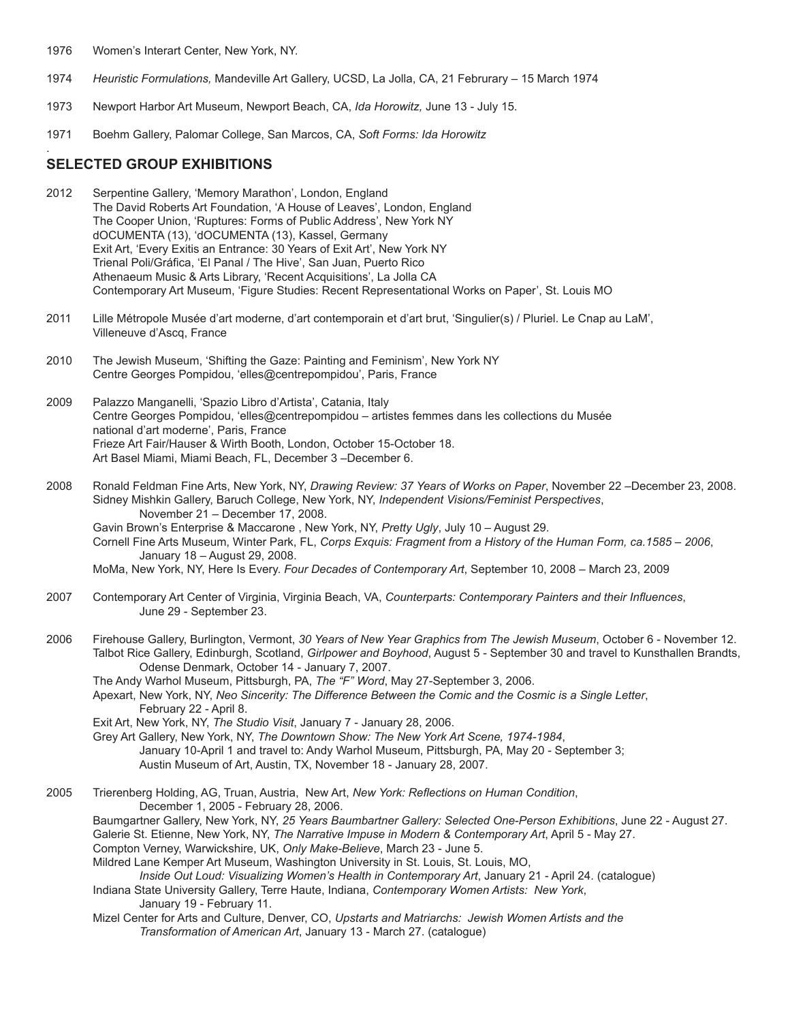- 1976 Women's Interart Center, New York, NY.
- 1974 *Heuristic Formulations,* Mandeville Art Gallery, UCSD, La Jolla, CA, 21 Februrary 15 March 1974
- 1973 Newport Harbor Art Museum, Newport Beach, CA, *Ida Horowitz,* June 13 July 15.
- 1971 Boehm Gallery, Palomar College, San Marcos, CA, *Soft Forms: Ida Horowitz*

#### **SELECTED GROUP EXHIBITIONS**

.

- 2012 Serpentine Gallery, 'Memory Marathon', London, England The David Roberts Art Foundation, 'A House of Leaves', London, England The Cooper Union, 'Ruptures: Forms of Public Address', New York NY dOCUMENTA (13), 'dOCUMENTA (13), Kassel, Germany Exit Art, 'Every Exitis an Entrance: 30 Years of Exit Art', New York NY Trienal Poli/Gráfica, 'El Panal / The Hive', San Juan, Puerto Rico Athenaeum Music & Arts Library, 'Recent Acquisitions', La Jolla CA Contemporary Art Museum, 'Figure Studies: Recent Representational Works on Paper', St. Louis MO
- 2011 Lille Métropole Musée d'art moderne, d'art contemporain et d'art brut, 'Singulier(s) / Pluriel. Le Cnap au LaM', Villeneuve d'Ascq, France
- 2010 The Jewish Museum, 'Shifting the Gaze: Painting and Feminism', New York NY Centre Georges Pompidou, 'elles@centrepompidou', Paris, France
- 2009 Palazzo Manganelli, 'Spazio Libro d'Artista', Catania, Italy Centre Georges Pompidou, 'elles@centrepompidou – artistes femmes dans les collections du Musée national d'art moderne', Paris, France Frieze Art Fair/Hauser & Wirth Booth, London, October 15-October 18. Art Basel Miami, Miami Beach, FL, December 3 –December 6.
- 2008 Ronald Feldman Fine Arts, New York, NY, *Drawing Review: 37 Years of Works on Paper*, November 22 –December 23, 2008. Sidney Mishkin Gallery, Baruch College, New York, NY, *Independent Visions/Feminist Perspectives*, November 21 – December 17, 2008. Gavin Brown's Enterprise & Maccarone , New York, NY, *Pretty Ugly*, July 10 – August 29.
	- Cornell Fine Arts Museum, Winter Park, FL, *Corps Exquis: Fragment from a History of the Human Form, ca.1585 2006*, January 18 – August 29, 2008.

MoMa, New York, NY, Here Is Every. *Four Decades of Contemporary Art*, September 10, 2008 – March 23, 2009

- 2007 Contemporary Art Center of Virginia, Virginia Beach, VA, *Counterparts: Contemporary Painters and their Influences*, June 29 - September 23.
- 2006 Firehouse Gallery, Burlington, Vermont, *30 Years of New Year Graphics from The Jewish Museum*, October 6 November 12. Talbot Rice Gallery, Edinburgh, Scotland, *Girlpower and Boyhood*, August 5 - September 30 and travel to Kunsthallen Brandts, Odense Denmark, October 14 - January 7, 2007.
	- The Andy Warhol Museum, Pittsburgh, PA, *The "F" Word*, May 27-September 3, 2006.

Apexart, New York, NY, *Neo Sincerity: The Difference Between the Comic and the Cosmic is a Single Letter*, February 22 - April 8.

Exit Art, New York, NY, *The Studio Visit*, January 7 - January 28, 2006.

Grey Art Gallery, New York, NY, *The Downtown Show: The New York Art Scene, 1974-1984*, January 10-April 1 and travel to: Andy Warhol Museum, Pittsburgh, PA, May 20 - September 3; Austin Museum of Art, Austin, TX, November 18 - January 28, 2007.

2005 Trierenberg Holding, AG, Truan, Austria, New Art, *New York: Reflections on Human Condition*, December 1, 2005 - February 28, 2006. Baumgartner Gallery, New York, NY, *25 Years Baumbartner Gallery: Selected One-Person Exhibitions*, June 22 - August 27. Galerie St. Etienne, New York, NY, *The Narrative Impuse in Modern & Contemporary Art*, April 5 - May 27. Compton Verney, Warwickshire, UK, *Only Make-Believe*, March 23 - June 5. Mildred Lane Kemper Art Museum, Washington University in St. Louis, St. Louis, MO, *Inside Out Loud: Visualizing Women's Health in Contemporary Art*, January 21 - April 24. (catalogue) Indiana State University Gallery, Terre Haute, Indiana, *Contemporary Women Artists: New York*, January 19 - February 11.

Mizel Center for Arts and Culture, Denver, CO, *Upstarts and Matriarchs: Jewish Women Artists and the Transformation of American Art*, January 13 - March 27. (catalogue)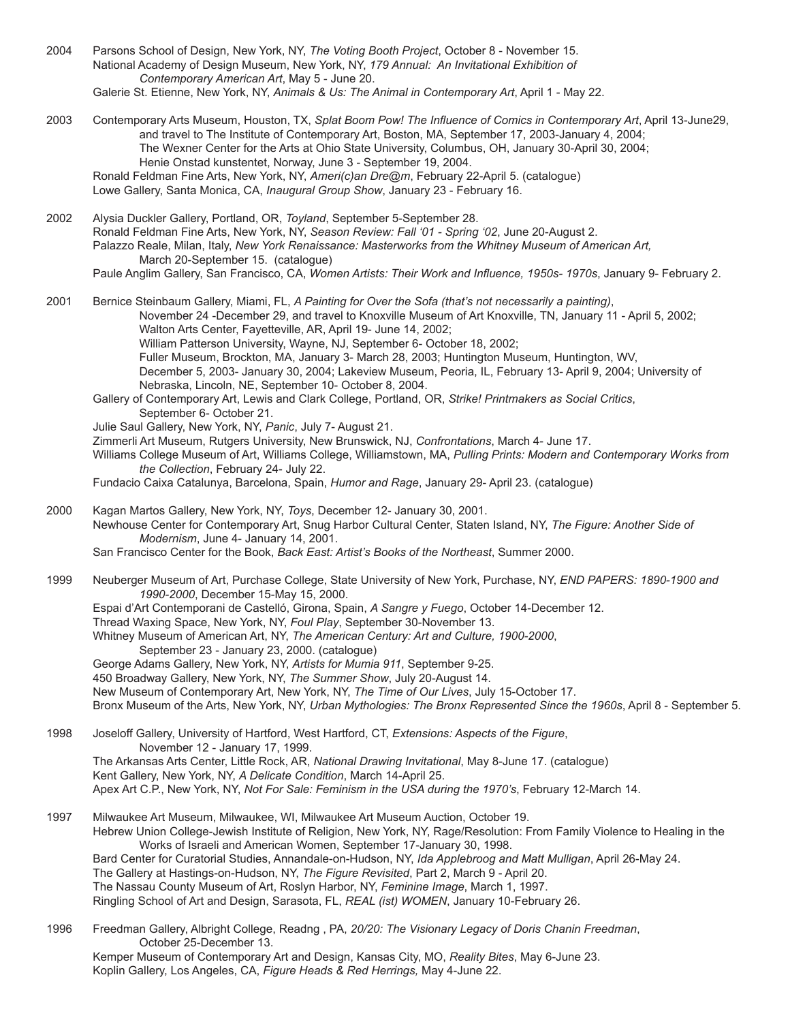- 2004 Parsons School of Design, New York, NY, *The Voting Booth Project*, October 8 November 15. National Academy of Design Museum, New York, NY, *179 Annual: An Invitational Exhibition of Contemporary American Art*, May 5 - June 20. Galerie St. Etienne, New York, NY, *Animals & Us: The Animal in Contemporary Art*, April 1 - May 22.
- 2003 Contemporary Arts Museum, Houston, TX, *Splat Boom Pow! The Influence of Comics in Contemporary Art*, April 13-June29, and travel to The Institute of Contemporary Art, Boston, MA, September 17, 2003-January 4, 2004; The Wexner Center for the Arts at Ohio State University, Columbus, OH, January 30-April 30, 2004; Henie Onstad kunstentet, Norway, June 3 - September 19, 2004. Ronald Feldman Fine Arts, New York, NY, *Ameri(c)an Dre@m*, February 22-April 5. (catalogue) Lowe Gallery, Santa Monica, CA, *Inaugural Group Show*, January 23 - February 16.
- 2002 Alysia Duckler Gallery, Portland, OR, *Toyland*, September 5-September 28. Ronald Feldman Fine Arts, New York, NY, *Season Review: Fall '01 - Spring '02*, June 20-August 2. Palazzo Reale, Milan, Italy, *New York Renaissance: Masterworks from the Whitney Museum of American Art,* March 20-September 15. (catalogue) Paule Anglim Gallery, San Francisco, CA, *Women Artists: Their Work and Influence, 1950s- 1970s*, January 9- February 2.

2001 Bernice Steinbaum Gallery, Miami, FL, *A Painting for Over the Sofa (that's not necessarily a painting)*, November 24 -December 29, and travel to Knoxville Museum of Art Knoxville, TN, January 11 - April 5, 2002; Walton Arts Center, Fayetteville, AR, April 19- June 14, 2002; William Patterson University, Wayne, NJ, September 6- October 18, 2002; Fuller Museum, Brockton, MA, January 3- March 28, 2003; Huntington Museum, Huntington, WV, December 5, 2003- January 30, 2004; Lakeview Museum, Peoria, IL, February 13- April 9, 2004; University of Nebraska, Lincoln, NE, September 10- October 8, 2004. Gallery of Contemporary Art, Lewis and Clark College, Portland, OR, *Strike! Printmakers as Social Critics*, September 6- October 21. Julie Saul Gallery, New York, NY, *Panic*, July 7- August 21. Zimmerli Art Museum, Rutgers University, New Brunswick, NJ, *Confrontations*, March 4- June 17. Williams College Museum of Art, Williams College, Williamstown, MA, *Pulling Prints: Modern and Contemporary Works from the Collection*, February 24- July 22. Fundacio Caixa Catalunya, Barcelona, Spain, *Humor and Rage*, January 29- April 23. (catalogue) 2000 Kagan Martos Gallery, New York, NY, *Toys*, December 12- January 30, 2001. Newhouse Center for Contemporary Art, Snug Harbor Cultural Center, Staten Island, NY, *The Figure: Another Side of Modernism*, June 4- January 14, 2001. San Francisco Center for the Book, *Back East: Artist's Books of the Northeast*, Summer 2000. 1999 Neuberger Museum of Art, Purchase College, State University of New York, Purchase, NY, *END PAPERS: 1890-1900 and 1990-2000*, December 15-May 15, 2000. Espai d'Art Contemporani de Castelló, Girona, Spain, *A Sangre y Fuego*, October 14-December 12. Thread Waxing Space, New York, NY, *Foul Play*, September 30-November 13.

- Whitney Museum of American Art, NY, *The American Century: Art and Culture, 1900-2000*,
	- September 23 January 23, 2000. (catalogue)
- George Adams Gallery, New York, NY, *Artists for Mumia 911*, September 9-25.
- 450 Broadway Gallery, New York, NY, *The Summer Show*, July 20-August 14.
- New Museum of Contemporary Art, New York, NY, *The Time of Our Lives*, July 15-October 17.
- Bronx Museum of the Arts, New York, NY, *Urban Mythologies: The Bronx Represented Since the 1960s*, April 8 September 5.
- 1998 Joseloff Gallery, University of Hartford, West Hartford, CT, *Extensions: Aspects of the Figure*, November 12 - January 17, 1999. The Arkansas Arts Center, Little Rock, AR, *National Drawing Invitational*, May 8-June 17. (catalogue) Kent Gallery, New York, NY, *A Delicate Condition*, March 14-April 25. Apex Art C.P., New York, NY, *Not For Sale: Feminism in the USA during the 1970's*, February 12-March 14.
- 1997 Milwaukee Art Museum, Milwaukee, WI, Milwaukee Art Museum Auction, October 19. Hebrew Union College-Jewish Institute of Religion, New York, NY, Rage/Resolution: From Family Violence to Healing in the Works of Israeli and American Women, September 17-January 30, 1998. Bard Center for Curatorial Studies, Annandale-on-Hudson, NY, *Ida Applebroog and Matt Mulligan*, April 26-May 24. The Gallery at Hastings-on-Hudson, NY, *The Figure Revisited*, Part 2, March 9 - April 20. The Nassau County Museum of Art, Roslyn Harbor, NY, *Feminine Image*, March 1, 1997. Ringling School of Art and Design, Sarasota, FL, *REAL (ist) WOMEN*, January 10-February 26.
- 1996 Freedman Gallery, Albright College, Readng , PA, *20/20: The Visionary Legacy of Doris Chanin Freedman*, October 25-December 13. Kemper Museum of Contemporary Art and Design, Kansas City, MO, *Reality Bites*, May 6-June 23. Koplin Gallery, Los Angeles, CA, *Figure Heads & Red Herrings,* May 4-June 22.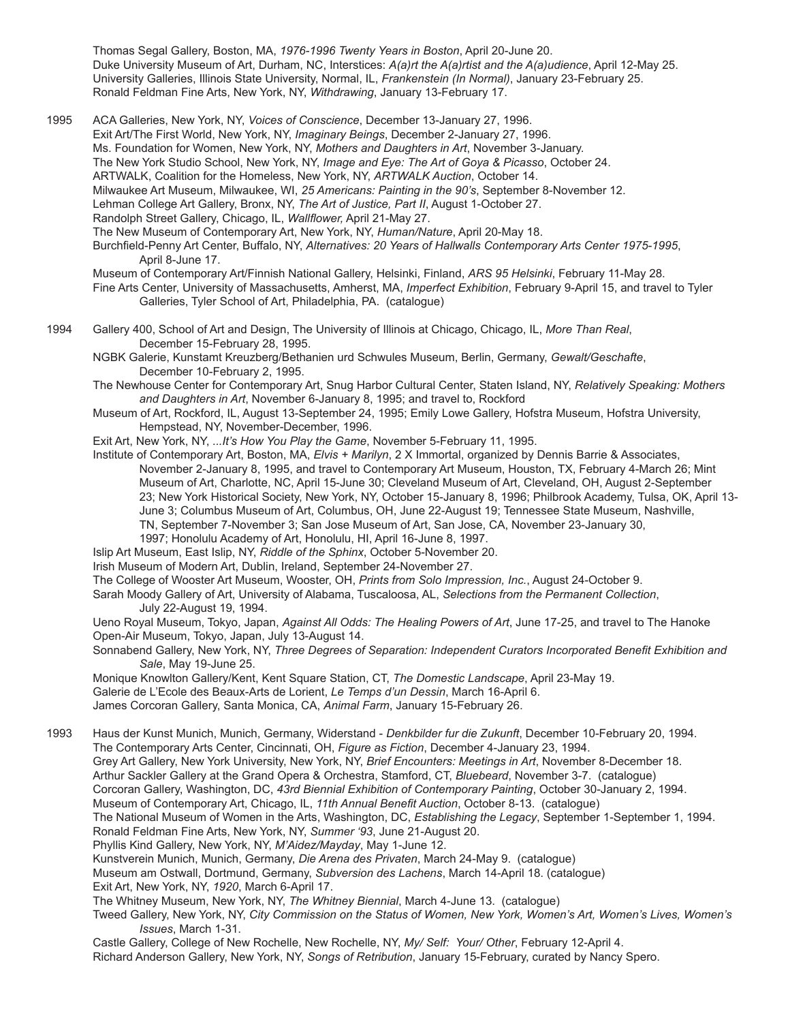Thomas Segal Gallery, Boston, MA, *1976-1996 Twenty Years in Boston*, April 20-June 20. Duke University Museum of Art, Durham, NC, Interstices: *A(a)rt the A(a)rtist and the A(a)udience*, April 12-May 25. University Galleries, Illinois State University, Normal, IL, *Frankenstein (In Normal)*, January 23-February 25. Ronald Feldman Fine Arts, New York, NY, *Withdrawing*, January 13-February 17.

1995 ACA Galleries, New York, NY, *Voices of Conscience*, December 13-January 27, 1996. Exit Art/The First World, New York, NY, *Imaginary Beings*, December 2-January 27, 1996. Ms. Foundation for Women, New York, NY, *Mothers and Daughters in Art*, November 3-January. The New York Studio School, New York, NY, *Image and Eye: The Art of Goya & Picasso*, October 24. ARTWALK, Coalition for the Homeless, New York, NY, *ARTWALK Auction*, October 14. Milwaukee Art Museum, Milwaukee, WI, *25 Americans: Painting in the 90's*, September 8-November 12. Lehman College Art Gallery, Bronx, NY, *The Art of Justice, Part II*, August 1-October 27. Randolph Street Gallery, Chicago, IL, *Wallflower,* April 21-May 27. The New Museum of Contemporary Art, New York, NY, *Human/Nature*, April 20-May 18. Burchfield-Penny Art Center, Buffalo, NY, *Alternatives: 20 Years of Hallwalls Contemporary Arts Center 1975-1995*, April 8-June 17. Museum of Contemporary Art/Finnish National Gallery, Helsinki, Finland, *ARS 95 Helsinki*, February 11-May 28. Fine Arts Center, University of Massachusetts, Amherst, MA, *Imperfect Exhibition*, February 9-April 15, and travel to Tyler Galleries, Tyler School of Art, Philadelphia, PA. (catalogue)

1994 Gallery 400, School of Art and Design, The University of Illinois at Chicago, Chicago, IL, *More Than Real*, December 15-February 28, 1995.

NGBK Galerie, Kunstamt Kreuzberg/Bethanien urd Schwules Museum, Berlin, Germany, *Gewalt/Geschafte*, December 10-February 2, 1995.

The Newhouse Center for Contemporary Art, Snug Harbor Cultural Center, Staten Island, NY, *Relatively Speaking: Mothers and Daughters in Art*, November 6-January 8, 1995; and travel to, Rockford

- Museum of Art, Rockford, IL, August 13-September 24, 1995; Emily Lowe Gallery, Hofstra Museum, Hofstra University, Hempstead, NY, November-December, 1996.
- Exit Art, New York, NY, *...It's How You Play the Game*, November 5-February 11, 1995.

Institute of Contemporary Art, Boston, MA, *Elvis + Marilyn*, 2 X Immortal, organized by Dennis Barrie & Associates, November 2-January 8, 1995, and travel to Contemporary Art Museum, Houston, TX, February 4-March 26; Mint Museum of Art, Charlotte, NC, April 15-June 30; Cleveland Museum of Art, Cleveland, OH, August 2-September 23; New York Historical Society, New York, NY, October 15-January 8, 1996; Philbrook Academy, Tulsa, OK, April 13- June 3; Columbus Museum of Art, Columbus, OH, June 22-August 19; Tennessee State Museum, Nashville, TN, September 7-November 3; San Jose Museum of Art, San Jose, CA, November 23-January 30, 1997; Honolulu Academy of Art, Honolulu, HI, April 16-June 8, 1997.

Islip Art Museum, East Islip, NY, *Riddle of the Sphinx*, October 5-November 20.

Irish Museum of Modern Art, Dublin, Ireland, September 24-November 27.

The College of Wooster Art Museum, Wooster, OH, *Prints from Solo Impression, Inc.*, August 24-October 9.

Sarah Moody Gallery of Art, University of Alabama, Tuscaloosa, AL, *Selections from the Permanent Collection*, July 22-August 19, 1994.

Ueno Royal Museum, Tokyo, Japan, *Against All Odds: The Healing Powers of Art*, June 17-25, and travel to The Hanoke Open-Air Museum, Tokyo, Japan, July 13-August 14.

Sonnabend Gallery, New York, NY, *Three Degrees of Separation: Independent Curators Incorporated Benefit Exhibition and Sale*, May 19-June 25.

Monique Knowlton Gallery/Kent, Kent Square Station, CT, *The Domestic Landscape*, April 23-May 19. Galerie de L'Ecole des Beaux-Arts de Lorient, *Le Temps d'un Dessin*, March 16-April 6. James Corcoran Gallery, Santa Monica, CA, *Animal Farm*, January 15-February 26.

1993 Haus der Kunst Munich, Munich, Germany, Widerstand - *Denkbilder fur die Zukunft*, December 10-February 20, 1994. The Contemporary Arts Center, Cincinnati, OH, *Figure as Fiction*, December 4-January 23, 1994. Grey Art Gallery, New York University, New York, NY, *Brief Encounters: Meetings in Art*, November 8-December 18. Arthur Sackler Gallery at the Grand Opera & Orchestra, Stamford, CT, *Bluebeard*, November 3-7. (catalogue) Corcoran Gallery, Washington, DC, *43rd Biennial Exhibition of Contemporary Painting*, October 30-January 2, 1994. Museum of Contemporary Art, Chicago, IL, *11th Annual Benefit Auction*, October 8-13. (catalogue) The National Museum of Women in the Arts, Washington, DC, *Establishing the Legacy*, September 1-September 1, 1994. Ronald Feldman Fine Arts, New York, NY, *Summer '93*, June 21-August 20. Phyllis Kind Gallery, New York, NY, *M'Aidez/Mayday*, May 1-June 12. Kunstverein Munich, Munich, Germany, *Die Arena des Privaten*, March 24-May 9. (catalogue) Museum am Ostwall, Dortmund, Germany, *Subversion des Lachens*, March 14-April 18. (catalogue) Exit Art, New York, NY, *1920*, March 6-April 17. The Whitney Museum, New York, NY, *The Whitney Biennial*, March 4-June 13. (catalogue) Tweed Gallery, New York, NY, *City Commission on the Status of Women, New York, Women's Art, Women's Lives, Women's Issues*, March 1-31.

Castle Gallery, College of New Rochelle, New Rochelle, NY, *My/ Self: Your/ Other*, February 12-April 4. Richard Anderson Gallery, New York, NY, *Songs of Retribution*, January 15-February, curated by Nancy Spero.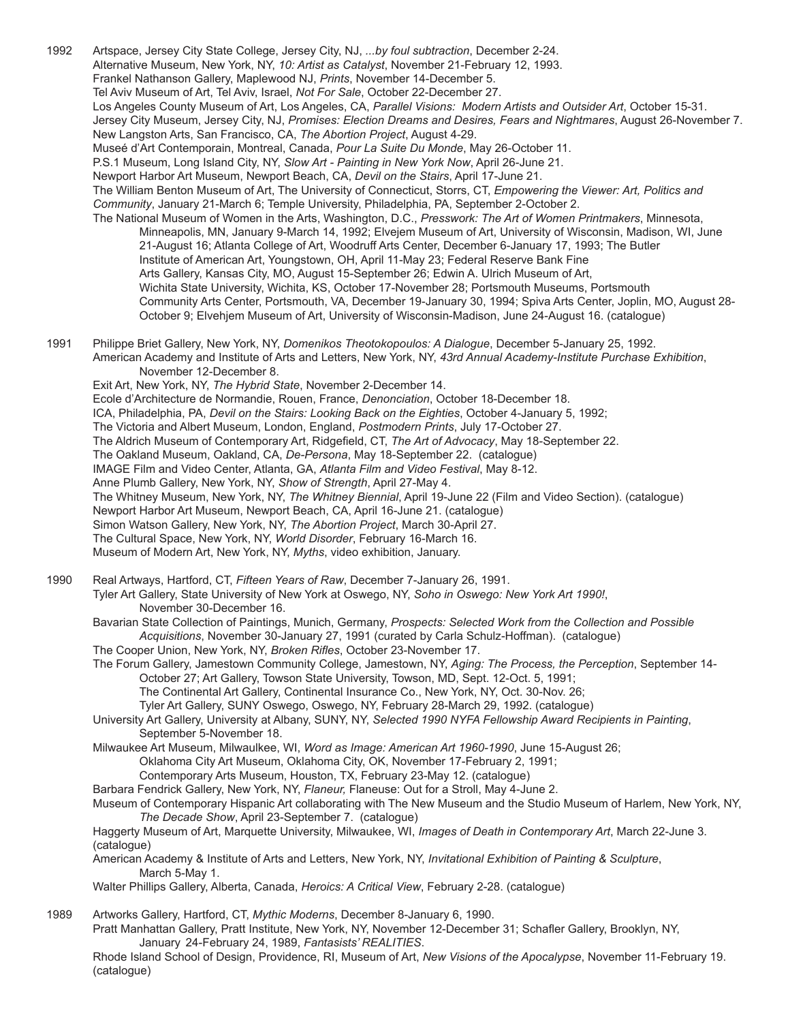1992 Artspace, Jersey City State College, Jersey City, NJ, *...by foul subtraction*, December 2-24. Alternative Museum, New York, NY, *10: Artist as Catalyst*, November 21-February 12, 1993. Frankel Nathanson Gallery, Maplewood NJ, *Prints*, November 14-December 5. Tel Aviv Museum of Art, Tel Aviv, Israel, *Not For Sale*, October 22-December 27. Los Angeles County Museum of Art, Los Angeles, CA, *Parallel Visions: Modern Artists and Outsider Art*, October 15-31. Jersey City Museum, Jersey City, NJ, *Promises: Election Dreams and Desires, Fears and Nightmares*, August 26-November 7. New Langston Arts, San Francisco, CA, *The Abortion Project*, August 4-29. Museé d'Art Contemporain, Montreal, Canada, *Pour La Suite Du Monde*, May 26-October 11. P.S.1 Museum, Long Island City, NY, *Slow Art - Painting in New York Now*, April 26-June 21. Newport Harbor Art Museum, Newport Beach, CA, *Devil on the Stairs*, April 17-June 21. The William Benton Museum of Art, The University of Connecticut, Storrs, CT, *Empowering the Viewer: Art, Politics and Community*, January 21-March 6; Temple University, Philadelphia, PA, September 2-October 2. The National Museum of Women in the Arts, Washington, D.C., *Presswork: The Art of Women Printmakers*, Minnesota, Minneapolis, MN, January 9-March 14, 1992; Elvejem Museum of Art, University of Wisconsin, Madison, WI, June 21-August 16; Atlanta College of Art, Woodruff Arts Center, December 6-January 17, 1993; The Butler Institute of American Art, Youngstown, OH, April 11-May 23; Federal Reserve Bank Fine Arts Gallery, Kansas City, MO, August 15-September 26; Edwin A. Ulrich Museum of Art, Wichita State University, Wichita, KS, October 17-November 28; Portsmouth Museums, Portsmouth Community Arts Center, Portsmouth, VA, December 19-January 30, 1994; Spiva Arts Center, Joplin, MO, August 28- October 9; Elvehjem Museum of Art, University of Wisconsin-Madison, June 24-August 16. (catalogue) 1991 Philippe Briet Gallery, New York, NY, *Domenikos Theotokopoulos: A Dialogue*, December 5-January 25, 1992. American Academy and Institute of Arts and Letters, New York, NY, *43rd Annual Academy-Institute Purchase Exhibition*, November 12-December 8. Exit Art, New York, NY, *The Hybrid State*, November 2-December 14. Ecole d'Architecture de Normandie, Rouen, France, *Denonciation*, October 18-December 18. ICA, Philadelphia, PA, *Devil on the Stairs: Looking Back on the Eighties*, October 4-January 5, 1992; The Victoria and Albert Museum, London, England, *Postmodern Prints*, July 17-October 27. The Aldrich Museum of Contemporary Art, Ridgefield, CT, *The Art of Advocacy*, May 18-September 22. The Oakland Museum, Oakland, CA, *De-Persona*, May 18-September 22. (catalogue) IMAGE Film and Video Center, Atlanta, GA, *Atlanta Film and Video Festival*, May 8-12. Anne Plumb Gallery, New York, NY, *Show of Strength*, April 27-May 4. The Whitney Museum, New York, NY, *The Whitney Biennial*, April 19-June 22 (Film and Video Section). (catalogue) Newport Harbor Art Museum, Newport Beach, CA, April 16-June 21. (catalogue) Simon Watson Gallery, New York, NY, *The Abortion Project*, March 30-April 27. The Cultural Space, New York, NY, *World Disorder*, February 16-March 16. Museum of Modern Art, New York, NY, *Myths*, video exhibition, January. 1990 Real Artways, Hartford, CT, *Fifteen Years of Raw*, December 7-January 26, 1991. Tyler Art Gallery, State University of New York at Oswego, NY, *Soho in Oswego: New York Art 1990!*, November 30-December 16. Bavarian State Collection of Paintings, Munich, Germany, *Prospects: Selected Work from the Collection and Possible Acquisitions*, November 30-January 27, 1991 (curated by Carla Schulz-Hoffman). (catalogue) The Cooper Union, New York, NY, *Broken Rifles*, October 23-November 17. The Forum Gallery, Jamestown Community College, Jamestown, NY, *Aging: The Process, the Perception*, September 14- October 27; Art Gallery, Towson State University, Towson, MD, Sept. 12-Oct. 5, 1991; The Continental Art Gallery, Continental Insurance Co., New York, NY, Oct. 30-Nov. 26; Tyler Art Gallery, SUNY Oswego, Oswego, NY, February 28-March 29, 1992. (catalogue) University Art Gallery, University at Albany, SUNY, NY, *Selected 1990 NYFA Fellowship Award Recipients in Painting*, September 5-November 18. Milwaukee Art Museum, Milwaulkee, WI, *Word as Image: American Art 1960-1990*, June 15-August 26; Oklahoma City Art Museum, Oklahoma City, OK, November 17-February 2, 1991; Contemporary Arts Museum, Houston, TX, February 23-May 12. (catalogue) Barbara Fendrick Gallery, New York, NY, *Flaneur,* Flaneuse: Out for a Stroll, May 4-June 2. Museum of Contemporary Hispanic Art collaborating with The New Museum and the Studio Museum of Harlem, New York, NY, *The Decade Show*, April 23-September 7. (catalogue) Haggerty Museum of Art, Marquette University, Milwaukee, WI, *Images of Death in Contemporary Art*, March 22-June 3. (catalogue) American Academy & Institute of Arts and Letters, New York, NY, *Invitational Exhibition of Painting & Sculpture*, March 5-May 1.

Walter Phillips Gallery, Alberta, Canada, *Heroics: A Critical View*, February 2-28. (catalogue)

1989 Artworks Gallery, Hartford, CT, *Mythic Moderns*, December 8-January 6, 1990. Pratt Manhattan Gallery, Pratt Institute, New York, NY, November 12-December 31; Schafler Gallery, Brooklyn, NY, January 24-February 24, 1989, *Fantasists' REALITIES*. Rhode Island School of Design, Providence, RI, Museum of Art, *New Visions of the Apocalypse*, November 11-February 19. (catalogue)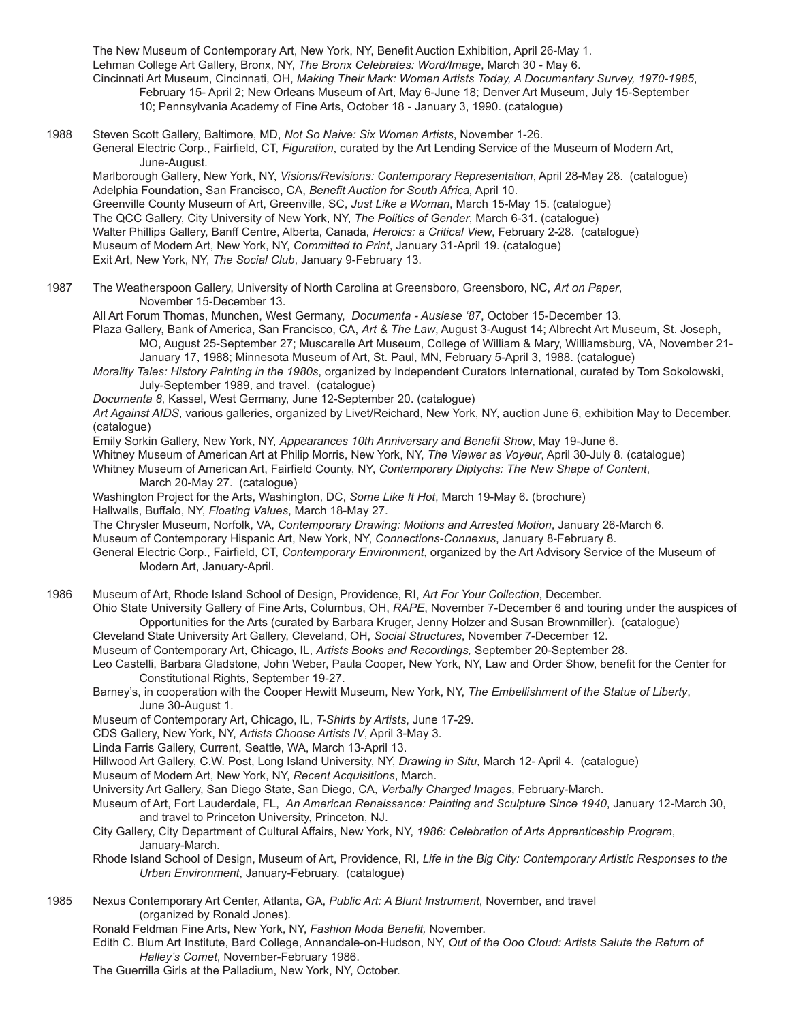The New Museum of Contemporary Art, New York, NY, Benefit Auction Exhibition, April 26-May 1. Lehman College Art Gallery, Bronx, NY, *The Bronx Celebrates: Word/Image*, March 30 - May 6. Cincinnati Art Museum, Cincinnati, OH, *Making Their Mark: Women Artists Today, A Documentary Survey, 1970-1985*, February 15- April 2; New Orleans Museum of Art, May 6-June 18; Denver Art Museum, July 15-September 10; Pennsylvania Academy of Fine Arts, October 18 - January 3, 1990. (catalogue)

1988 Steven Scott Gallery, Baltimore, MD, *Not So Naive: Six Women Artists*, November 1-26. General Electric Corp., Fairfield, CT, *Figuration*, curated by the Art Lending Service of the Museum of Modern Art, June-August.

Marlborough Gallery, New York, NY, *Visions/Revisions: Contemporary Representation*, April 28-May 28. (catalogue) Adelphia Foundation, San Francisco, CA, *Benefit Auction for South Africa,* April 10. Greenville County Museum of Art, Greenville, SC, *Just Like a Woman*, March 15-May 15. (catalogue) The QCC Gallery, City University of New York, NY, *The Politics of Gender*, March 6-31. (catalogue) Walter Phillips Gallery, Banff Centre, Alberta, Canada, *Heroics: a Critical View*, February 2-28. (catalogue) Museum of Modern Art, New York, NY, *Committed to Print*, January 31-April 19. (catalogue) Exit Art, New York, NY, *The Social Club*, January 9-February 13.

1987 The Weatherspoon Gallery, University of North Carolina at Greensboro, Greensboro, NC, *Art on Paper*, November 15-December 13.

All Art Forum Thomas, Munchen, West Germany, *Documenta - Auslese '87*, October 15-December 13.

- Plaza Gallery, Bank of America, San Francisco, CA, *Art & The Law*, August 3-August 14; Albrecht Art Museum, St. Joseph, MO, August 25-September 27; Muscarelle Art Museum, College of William & Mary, Williamsburg, VA, November 21- January 17, 1988; Minnesota Museum of Art, St. Paul, MN, February 5-April 3, 1988. (catalogue)
- *Morality Tales: History Painting in the 1980s*, organized by Independent Curators International, curated by Tom Sokolowski, July-September 1989, and travel. (catalogue)
- *Documenta 8*, Kassel, West Germany, June 12-September 20. (catalogue)

*Art Against AIDS*, various galleries, organized by Livet/Reichard, New York, NY, auction June 6, exhibition May to December. (catalogue)

Emily Sorkin Gallery, New York, NY, *Appearances 10th Anniversary and Benefit Show*, May 19-June 6.

Whitney Museum of American Art at Philip Morris, New York, NY, *The Viewer as Voyeur*, April 30-July 8. (catalogue)

Whitney Museum of American Art, Fairfield County, NY, *Contemporary Diptychs: The New Shape of Content*, March 20-May 27. (catalogue)

Washington Project for the Arts, Washington, DC, *Some Like It Hot*, March 19-May 6. (brochure)

Hallwalls, Buffalo, NY, *Floating Values*, March 18-May 27.

The Chrysler Museum, Norfolk, VA, *Contemporary Drawing: Motions and Arrested Motion*, January 26-March 6.

Museum of Contemporary Hispanic Art, New York, NY, *Connections-Connexus*, January 8-February 8.

General Electric Corp., Fairfield, CT, *Contemporary Environment*, organized by the Art Advisory Service of the Museum of Modern Art, January-April.

1986 Museum of Art, Rhode Island School of Design, Providence, RI, *Art For Your Collection*, December.

Ohio State University Gallery of Fine Arts, Columbus, OH, *RAPE*, November 7-December 6 and touring under the auspices of Opportunities for the Arts (curated by Barbara Kruger, Jenny Holzer and Susan Brownmiller). (catalogue)

Cleveland State University Art Gallery, Cleveland, OH, *Social Structures*, November 7-December 12.

Museum of Contemporary Art, Chicago, IL, *Artists Books and Recordings,* September 20-September 28.

- Leo Castelli, Barbara Gladstone, John Weber, Paula Cooper, New York, NY, Law and Order Show, benefit for the Center for Constitutional Rights, September 19-27.
- Barney's, in cooperation with the Cooper Hewitt Museum, New York, NY, *The Embellishment of the Statue of Liberty*, June 30-August 1.

Museum of Contemporary Art, Chicago, IL, *T-Shirts by Artists*, June 17-29.

CDS Gallery, New York, NY, *Artists Choose Artists IV*, April 3-May 3.

- Linda Farris Gallery, Current, Seattle, WA, March 13-April 13.
- Hillwood Art Gallery, C.W. Post, Long Island University, NY, *Drawing in Situ*, March 12- April 4. (catalogue)
- Museum of Modern Art, New York, NY, *Recent Acquisitions*, March.
- University Art Gallery, San Diego State, San Diego, CA, *Verbally Charged Images*, February-March.

Museum of Art, Fort Lauderdale, FL, *An American Renaissance: Painting and Sculpture Since 1940*, January 12-March 30, and travel to Princeton University, Princeton, NJ.

- City Gallery, City Department of Cultural Affairs, New York, NY, *1986: Celebration of Arts Apprenticeship Program*, January-March.
- Rhode Island School of Design, Museum of Art, Providence, RI, *Life in the Big City: Contemporary Artistic Responses to the Urban Environment*, January-February. (catalogue)
- 1985 Nexus Contemporary Art Center, Atlanta, GA, *Public Art: A Blunt Instrument*, November, and travel (organized by Ronald Jones).
	- Ronald Feldman Fine Arts, New York, NY, *Fashion Moda Benefit,* November.
	- Edith C. Blum Art Institute, Bard College, Annandale-on-Hudson, NY, *Out of the Ooo Cloud: Artists Salute the Return of Halley's Comet*, November-February 1986.
	- The Guerrilla Girls at the Palladium, New York, NY, October.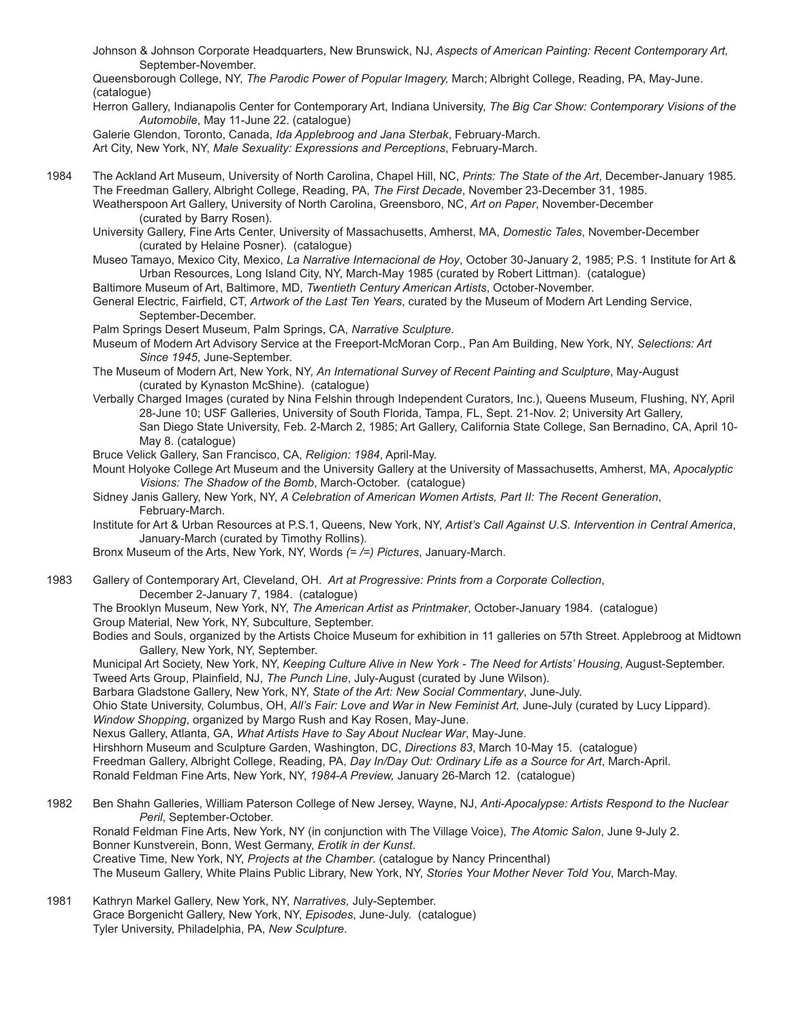Johnson & Johnson Corporate Headquarters, New Brunswick, NJ, *Aspects of American Painting: Recent Contemporary Art,* September-November.

Queensborough College, NY, *The Parodic Power of Popular Imagery,* March; Albright College, Reading, PA, May-June. (catalogue)

Herron Gallery, Indianapolis Center for Contemporary Art, Indiana University, *The Big Car Show: Contemporary Visions of the Automobile*, May 11-June 22. (catalogue)

Galerie Glendon, Toronto, Canada, *Ida Applebroog and Jana Sterbak*, February-March.

Art City, New York, NY, *Male Sexuality: Expressions and Perceptions*, February-March.

- 1984 The Ackland Art Museum, University of North Carolina, Chapel Hill, NC, *Prints: The State of the Art*, December-January 1985. The Freedman Gallery, Albright College, Reading, PA, *The First Decade*, November 23-December 31, 1985. Weatherspoon Art Gallery, University of North Carolina, Greensboro, NC, *Art on Paper*, November-December (curated by Barry Rosen).
	- University Gallery, Fine Arts Center, University of Massachusetts, Amherst, MA, *Domestic Tales*, November-December (curated by Helaine Posner). (catalogue)
	- Museo Tamayo, Mexico City, Mexico, *La Narrative Internacional de Hoy*, October 30-January 2, 1985; P.S. 1 Institute for Art & Urban Resources, Long Island City, NY, March-May 1985 (curated by Robert Littman). (catalogue)
	- Baltimore Museum of Art, Baltimore, MD, *Twentieth Century American Artists*, October-November.
	- General Electric, Fairfield, CT, *Artwork of the Last Ten Years*, curated by the Museum of Modern Art Lending Service, September-December.
	- Palm Springs Desert Museum, Palm Springs, CA, *Narrative Sculpture*.
	- Museum of Modern Art Advisory Service at the Freeport-McMoran Corp., Pan Am Building, New York, NY, *Selections: Art Since 1945*, June-September.
	- The Museum of Modern Art, New York, NY, *An International Survey of Recent Painting and Sculpture*, May-August (curated by Kynaston McShine). (catalogue)
	- Verbally Charged Images (curated by Nina Felshin through Independent Curators, Inc.), Queens Museum, Flushing, NY, April 28-June 10; USF Galleries, University of South Florida, Tampa, FL, Sept. 21-Nov. 2; University Art Gallery, San Diego State University, Feb. 2-March 2, 1985; Art Gallery, California State College, San Bernadino, CA, April 10- May 8. (catalogue)
	- Bruce Velick Gallery, San Francisco, CA, *Religion: 1984*, April-May.
	- Mount Holyoke College Art Museum and the University Gallery at the University of Massachusetts, Amherst, MA, *Apocalyptic Visions: The Shadow of the Bomb*, March-October. (catalogue)
	- Sidney Janis Gallery, New York, NY, *A Celebration of American Women Artists, Part II: The Recent Generation*, February-March.
	- Institute for Art & Urban Resources at P.S.1, Queens, New York, NY, *Artist's Call Against U.S. Intervention in Central America*, January-March (curated by Timothy Rollins).
	- Bronx Museum of the Arts, New York, NY, Words *(= /=) Pictures*, January-March.
- 1983 Gallery of Contemporary Art, Cleveland, OH. *Art at Progressive: Prints from a Corporate Collection*, December 2-January 7, 1984. (catalogue)
	- The Brooklyn Museum, New York, NY, *The American Artist as Printmaker*, October-January 1984. (catalogue) Group Material, New York, NY, Subculture, September.
	- Bodies and Souls, organized by the Artists Choice Museum for exhibition in 11 galleries on 57th Street. Applebroog at Midtown Gallery, New York, NY, September.
	- Municipal Art Society, New York, NY, *Keeping Culture Alive in New York The Need for Artists' Housing*, August-September. Tweed Arts Group, Plainfield, NJ, *The Punch Line*, July-August (curated by June Wilson).
	- Barbara Gladstone Gallery, New York, NY, *State of the Art: New Social Commentary*, June-July.

Ohio State University, Columbus, OH, *All's Fair: Love and War in New Feminist Art,* June-July (curated by Lucy Lippard). *Window Shopping*, organized by Margo Rush and Kay Rosen, May-June.

Nexus Gallery, Atlanta, GA, *What Artists Have to Say About Nuclear War*, May-June.

Hirshhorn Museum and Sculpture Garden, Washington, DC, *Directions 83*, March 10-May 15. (catalogue) Freedman Gallery, Albright College, Reading, PA, *Day In/Day Out: Ordinary Life as a Source for Art*, March-April. Ronald Feldman Fine Arts, New York, NY, *1984-A Preview,* January 26-March 12. (catalogue)

- 1982 Ben Shahn Galleries, William Paterson College of New Jersey, Wayne, NJ, *Anti-Apocalypse: Artists Respond to the Nuclear Peril*, September-October. Ronald Feldman Fine Arts, New York, NY (in conjunction with The Village Voice), *The Atomic Salon*, June 9-July 2. Bonner Kunstverein, Bonn, West Germany, *Erotik in der Kunst*. Creative Time, New York, NY, *Projects at the Chamber*. (catalogue by Nancy Princenthal) The Museum Gallery, White Plains Public Library, New York, NY, *Stories Your Mother Never Told You*, March-May.
- 1981 Kathryn Markel Gallery, New York, NY, *Narratives,* July-September. Grace Borgenicht Gallery, New York, NY, *Episodes*, June-July. (catalogue) Tyler University, Philadelphia, PA, *New Sculpture*.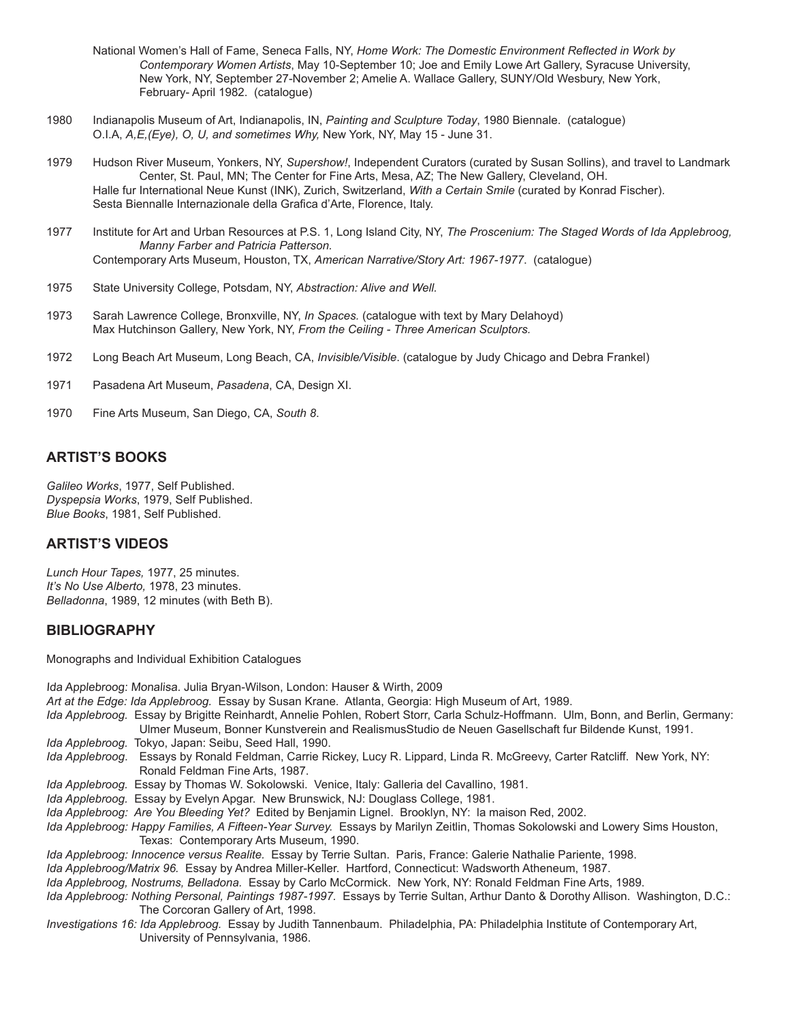- National Women's Hall of Fame, Seneca Falls, NY, *Home Work: The Domestic Environment Reflected in Work by Contemporary Women Artists*, May 10-September 10; Joe and Emily Lowe Art Gallery, Syracuse University, New York, NY, September 27-November 2; Amelie A. Wallace Gallery, SUNY/Old Wesbury, New York, February- April 1982. (catalogue)
- 1980 Indianapolis Museum of Art, Indianapolis, IN, *Painting and Sculpture Today*, 1980 Biennale. (catalogue) O.I.A, *A,E,(Eye), O, U, and sometimes Why,* New York, NY, May 15 - June 31.
- 1979 Hudson River Museum, Yonkers, NY, *Supershow!*, Independent Curators (curated by Susan Sollins), and travel to Landmark Center, St. Paul, MN; The Center for Fine Arts, Mesa, AZ; The New Gallery, Cleveland, OH. Halle fur International Neue Kunst (INK), Zurich, Switzerland, *With a Certain Smile* (curated by Konrad Fischer). Sesta Biennalle Internazionale della Grafica d'Arte, Florence, Italy.
- 1977 Institute for Art and Urban Resources at P.S. 1, Long Island City, NY, *The Proscenium: The Staged Words of Ida Applebroog, Manny Farber and Patricia Patterson.* Contemporary Arts Museum, Houston, TX, *American Narrative/Story Art: 1967-1977*. (catalogue)
- 1975 State University College, Potsdam, NY, *Abstraction: Alive and Well.*
- 1973 Sarah Lawrence College, Bronxville, NY, *In Spaces.* (catalogue with text by Mary Delahoyd) Max Hutchinson Gallery, New York, NY, *From the Ceiling - Three American Sculptors.*
- 1972 Long Beach Art Museum, Long Beach, CA, *Invisible/Visible*. (catalogue by Judy Chicago and Debra Frankel)
- 1971 Pasadena Art Museum, *Pasadena*, CA, Design XI.
- 1970 Fine Arts Museum, San Diego, CA, *South 8*.

# **ARTIST'S BOOKS**

*Galileo Works*, 1977, Self Published. *Dyspepsia Works*, 1979, Self Published. *Blue Books*, 1981, Self Published.

# **ARTIST'S VIDEOS**

*Lunch Hour Tapes,* 1977, 25 minutes. *It's No Use Alberto,* 1978, 23 minutes. *Belladonna*, 1989, 12 minutes (with Beth B).

## **BIBLIOGRAPHY**

Monographs and Individual Exhibition Catalogues

Ida Applebroog: Monalisa. Julia Bryan-Wilson, London: Hauser & Wirth, 2009 *Art at the Edge: Ida Applebroog.* Essay by Susan Krane. Atlanta, Georgia: High Museum of Art, 1989. *Ida Applebroog.* Essay by Brigitte Reinhardt, Annelie Pohlen, Robert Storr, Carla Schulz-Hoffmann. Ulm, Bonn, and Berlin, Germany: Ulmer Museum, Bonner Kunstverein and RealismusStudio de Neuen Gasellschaft fur Bildende Kunst, 1991. *Ida Applebroog.* Tokyo, Japan: Seibu, Seed Hall, 1990. *Ida Applebroog*. Essays by Ronald Feldman, Carrie Rickey, Lucy R. Lippard, Linda R. McGreevy, Carter Ratcliff. New York, NY: Ronald Feldman Fine Arts, 1987. *Ida Applebroog.* Essay by Thomas W. Sokolowski. Venice, Italy: Galleria del Cavallino, 1981. *Ida Applebroog.* Essay by Evelyn Apgar. New Brunswick, NJ: Douglass College, 1981. *Ida Applebroog: Are You Bleeding Yet?* Edited by Benjamin Lignel. Brooklyn, NY: la maison Red, 2002. *Ida Applebroog: Happy Families, A Fifteen-Year Survey.* Essays by Marilyn Zeitlin, Thomas Sokolowski and Lowery Sims Houston, Texas: Contemporary Arts Museum, 1990. *Ida Applebroog: Innocence versus Realite.* Essay by Terrie Sultan. Paris, France: Galerie Nathalie Pariente, 1998. *Ida Applebroog/Matrix 96.* Essay by Andrea Miller-Keller. Hartford, Connecticut: Wadsworth Atheneum, 1987. *Ida Applebroog, Nostrums, Belladona.* Essay by Carlo McCormick. New York, NY: Ronald Feldman Fine Arts, 1989. Ida Applebroog: Nothing Personal, Paintings 1987-1997. Essays by Terrie Sultan, Arthur Danto & Dorothy Allison. Washington, D.C.: The Corcoran Gallery of Art, 1998. *Investigations 16: Ida Applebroog.* Essay by Judith Tannenbaum. Philadelphia, PA: Philadelphia Institute of Contemporary Art, University of Pennsylvania, 1986.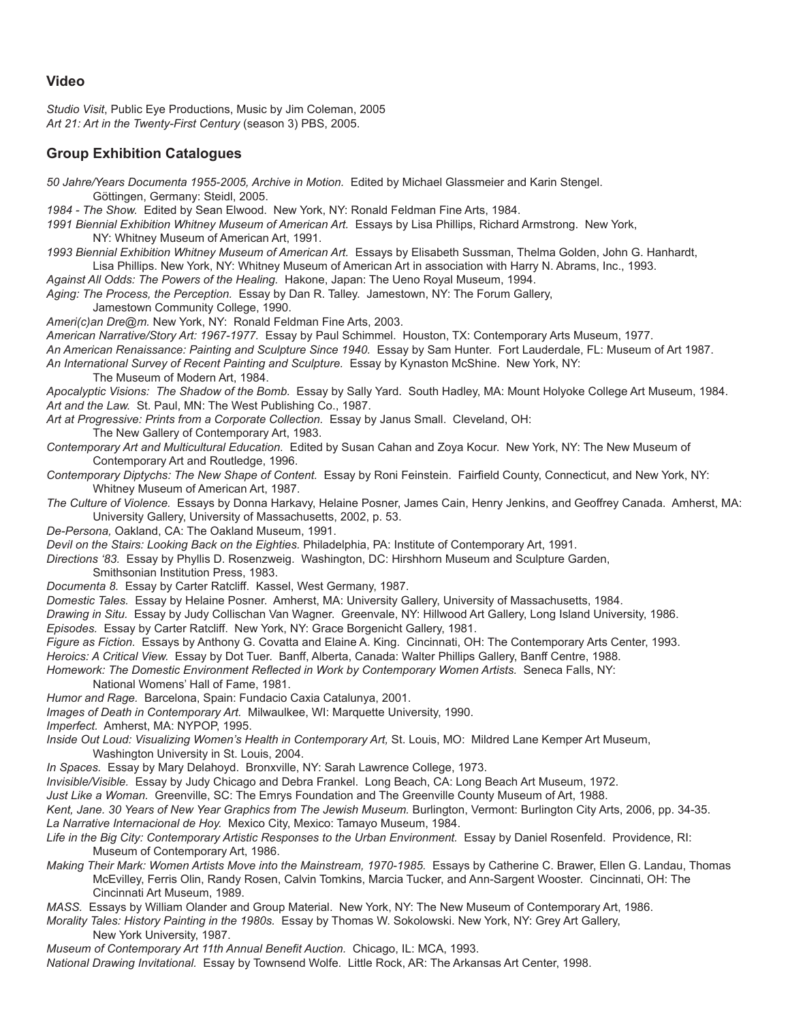## **Video**

*Studio Visit*, Public Eye Productions, Music by Jim Coleman, 2005 *Art 21: Art in the Twenty-First Century* (season 3) PBS, 2005.

# **Group Exhibition Catalogues**

*50 Jahre/Years Documenta 1955-2005, Archive in Motion.* Edited by Michael Glassmeier and Karin Stengel. Göttingen, Germany: Steidl, 2005.

*1984 - The Show.* Edited by Sean Elwood. New York, NY: Ronald Feldman Fine Arts, 1984.

*1991 Biennial Exhibition Whitney Museum of American Art.* Essays by Lisa Phillips, Richard Armstrong. New York, NY: Whitney Museum of American Art, 1991.

*1993 Biennial Exhibition Whitney Museum of American Art.* Essays by Elisabeth Sussman, Thelma Golden, John G. Hanhardt, Lisa Phillips. New York, NY: Whitney Museum of American Art in association with Harry N. Abrams, Inc., 1993.

*Against All Odds: The Powers of the Healing.* Hakone, Japan: The Ueno Royal Museum, 1994.

*Aging: The Process, the Perception.* Essay by Dan R. Talley. Jamestown, NY: The Forum Gallery,

Jamestown Community College, 1990.

*Ameri(c)an Dre@m.* New York, NY: Ronald Feldman Fine Arts, 2003.

*American Narrative/Story Art: 1967-1977.* Essay by Paul Schimmel. Houston, TX: Contemporary Arts Museum, 1977.

*An American Renaissance: Painting and Sculpture Since 1940.* Essay by Sam Hunter. Fort Lauderdale, FL: Museum of Art 1987.

*An International Survey of Recent Painting and Sculpture.* Essay by Kynaston McShine. New York, NY: The Museum of Modern Art, 1984.

*Apocalyptic Visions: The Shadow of the Bomb.* Essay by Sally Yard. South Hadley, MA: Mount Holyoke College Art Museum, 1984. *Art and the Law.* St. Paul, MN: The West Publishing Co., 1987.

Art at Progressive: Prints from a Corporate Collection. Essay by Janus Small. Cleveland, OH:

The New Gallery of Contemporary Art, 1983.

*Contemporary Art and Multicultural Education.* Edited by Susan Cahan and Zoya Kocur. New York, NY: The New Museum of Contemporary Art and Routledge, 1996.

*Contemporary Diptychs: The New Shape of Content.* Essay by Roni Feinstein. Fairfield County, Connecticut, and New York, NY: Whitney Museum of American Art, 1987.

*The Culture of Violence.* Essays by Donna Harkavy, Helaine Posner, James Cain, Henry Jenkins, and Geoffrey Canada. Amherst, MA: University Gallery, University of Massachusetts, 2002, p. 53.

*De-Persona,* Oakland, CA: The Oakland Museum, 1991.

*Devil on the Stairs: Looking Back on the Eighties.* Philadelphia, PA: Institute of Contemporary Art, 1991.

*Directions '83.* Essay by Phyllis D. Rosenzweig. Washington, DC: Hirshhorn Museum and Sculpture Garden, Smithsonian Institution Press, 1983.

*Documenta 8.* Essay by Carter Ratcliff. Kassel, West Germany, 1987.

*Domestic Tales.* Essay by Helaine Posner. Amherst, MA: University Gallery, University of Massachusetts, 1984.

*Drawing in Situ.* Essay by Judy Collischan Van Wagner. Greenvale, NY: Hillwood Art Gallery, Long Island University, 1986.

*Episodes.* Essay by Carter Ratcliff. New York, NY: Grace Borgenicht Gallery, 1981.

*Figure as Fiction.* Essays by Anthony G. Covatta and Elaine A. King. Cincinnati, OH: The Contemporary Arts Center, 1993.

*Heroics: A Critical View.* Essay by Dot Tuer. Banff, Alberta, Canada: Walter Phillips Gallery, Banff Centre, 1988.

*Homework: The Domestic Environment Reflected in Work by Contemporary Women Artists.* Seneca Falls, NY: National Womens' Hall of Fame, 1981.

*Humor and Rage.* Barcelona, Spain: Fundacio Caxia Catalunya, 2001.

*Images of Death in Contemporary Art.* Milwaulkee, WI: Marquette University, 1990.

*Imperfect.* Amherst, MA: NYPOP, 1995.

*Inside Out Loud: Visualizing Women's Health in Contemporary Art,* St. Louis, MO: Mildred Lane Kemper Art Museum, Washington University in St. Louis, 2004.

*In Spaces.* Essay by Mary Delahoyd. Bronxville, NY: Sarah Lawrence College, 1973.

*Invisible/Visible.* Essay by Judy Chicago and Debra Frankel. Long Beach, CA: Long Beach Art Museum, 1972.

*Just Like a Woman.* Greenville, SC: The Emrys Foundation and The Greenville County Museum of Art, 1988.

*Kent, Jane. 30 Years of New Year Graphics from The Jewish Museum.* Burlington, Vermont: Burlington City Arts, 2006, pp. 34-35. *La Narrative Internacional de Hoy.* Mexico City, Mexico: Tamayo Museum, 1984.

Life in the Big City: Contemporary Artistic Responses to the Urban Environment. Essay by Daniel Rosenfeld. Providence, RI: Museum of Contemporary Art, 1986.

*Making Their Mark: Women Artists Move into the Mainstream, 1970-1985.* Essays by Catherine C. Brawer, Ellen G. Landau, Thomas McEvilley, Ferris Olin, Randy Rosen, Calvin Tomkins, Marcia Tucker, and Ann-Sargent Wooster. Cincinnati, OH: The Cincinnati Art Museum, 1989.

*MASS.* Essays by William Olander and Group Material. New York, NY: The New Museum of Contemporary Art, 1986.

*Morality Tales: History Painting in the 1980s.* Essay by Thomas W. Sokolowski. New York, NY: Grey Art Gallery, New York University, 1987.

*Museum of Contemporary Art 11th Annual Benefit Auction.* Chicago, IL: MCA, 1993.

*National Drawing Invitational.* Essay by Townsend Wolfe. Little Rock, AR: The Arkansas Art Center, 1998.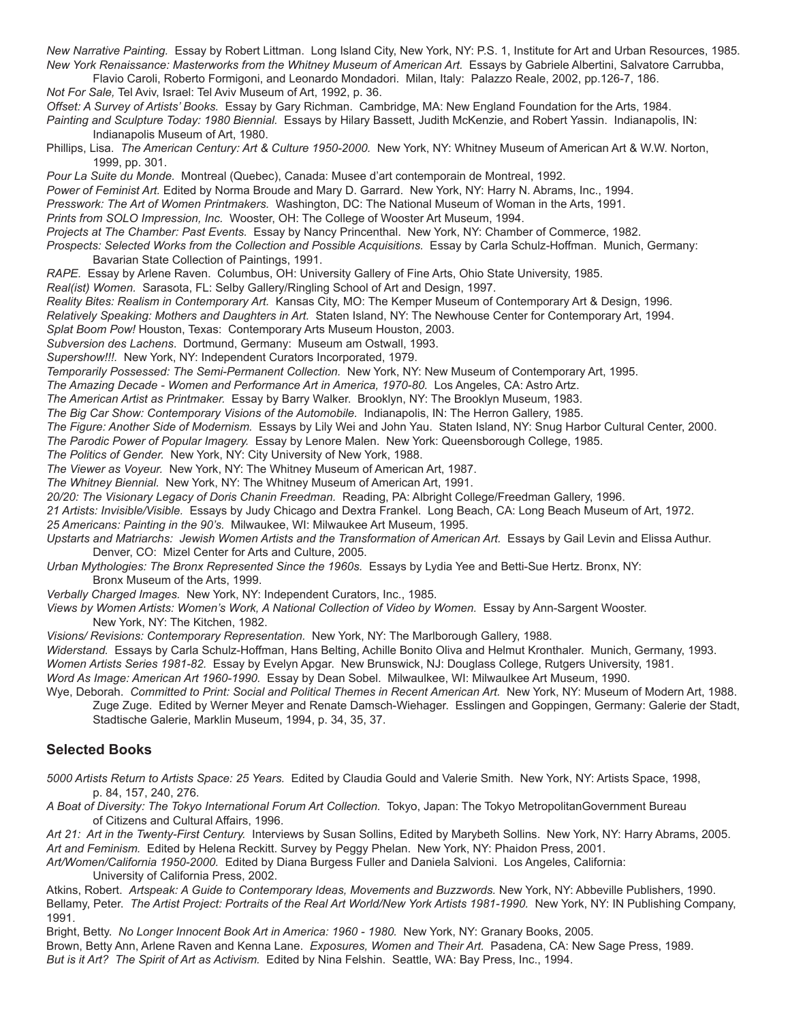*New Narrative Painting.* Essay by Robert Littman. Long Island City, New York, NY: P.S. 1, Institute for Art and Urban Resources, 1985. *New York Renaissance: Masterworks from the Whitney Museum of American Art.* Essays by Gabriele Albertini, Salvatore Carrubba,

Flavio Caroli, Roberto Formigoni, and Leonardo Mondadori. Milan, Italy: Palazzo Reale, 2002, pp.126-7, 186.

*Not For Sale,* Tel Aviv, Israel: Tel Aviv Museum of Art, 1992, p. 36.

*Offset: A Survey of Artists' Books.* Essay by Gary Richman. Cambridge, MA: New England Foundation for the Arts, 1984.

*Painting and Sculpture Today: 1980 Biennial.* Essays by Hilary Bassett, Judith McKenzie, and Robert Yassin. Indianapolis, IN: Indianapolis Museum of Art, 1980.

Phillips, Lisa. *The American Century: Art & Culture 1950-2000.* New York, NY: Whitney Museum of American Art & W.W. Norton, 1999, pp. 301.

*Pour La Suite du Monde.* Montreal (Quebec), Canada: Musee d'art contemporain de Montreal, 1992.

*Power of Feminist Art.* Edited by Norma Broude and Mary D. Garrard. New York, NY: Harry N. Abrams, Inc., 1994.

*Presswork: The Art of Women Printmakers.* Washington, DC: The National Museum of Woman in the Arts, 1991.

*Prints from SOLO Impression, Inc.* Wooster, OH: The College of Wooster Art Museum, 1994.

*Projects at The Chamber: Past Events.* Essay by Nancy Princenthal. New York, NY: Chamber of Commerce, 1982. *Prospects: Selected Works from the Collection and Possible Acquisitions.* Essay by Carla Schulz-Hoffman. Munich, Germany: Bavarian State Collection of Paintings, 1991.

*RAPE.* Essay by Arlene Raven. Columbus, OH: University Gallery of Fine Arts, Ohio State University, 1985.

*Real(ist) Women.* Sarasota, FL: Selby Gallery/Ringling School of Art and Design, 1997.

*Reality Bites: Realism in Contemporary Art.* Kansas City, MO: The Kemper Museum of Contemporary Art & Design, 1996.

*Relatively Speaking: Mothers and Daughters in Art.* Staten Island, NY: The Newhouse Center for Contemporary Art, 1994.

*Splat Boom Pow!* Houston, Texas: Contemporary Arts Museum Houston, 2003.

*Subversion des Lachens*. Dortmund, Germany: Museum am Ostwall, 1993.

*Supershow!!!.* New York, NY: Independent Curators Incorporated, 1979.

*Temporarily Possessed: The Semi-Permanent Collection.* New York, NY: New Museum of Contemporary Art, 1995.

*The Amazing Decade - Women and Performance Art in America, 1970-80.* Los Angeles, CA: Astro Artz.

*The American Artist as Printmaker.* Essay by Barry Walker. Brooklyn, NY: The Brooklyn Museum, 1983.

*The Big Car Show: Contemporary Visions of the Automobile.* Indianapolis, IN: The Herron Gallery, 1985.

*The Figure: Another Side of Modernism.* Essays by Lily Wei and John Yau. Staten Island, NY: Snug Harbor Cultural Center, 2000.

*The Parodic Power of Popular Imagery.* Essay by Lenore Malen. New York: Queensborough College, 1985.

*The Politics of Gender.* New York, NY: City University of New York, 1988.

*The Viewer as Voyeur.* New York, NY: The Whitney Museum of American Art, 1987.

*The Whitney Biennial.* New York, NY: The Whitney Museum of American Art, 1991.

*20/20: The Visionary Legacy of Doris Chanin Freedman.* Reading, PA: Albright College/Freedman Gallery, 1996.

*21 Artists: Invisible/Visible.* Essays by Judy Chicago and Dextra Frankel. Long Beach, CA: Long Beach Museum of Art, 1972.

*25 Americans: Painting in the 90's.* Milwaukee, WI: Milwaukee Art Museum, 1995.

Upstarts and Matriarchs: Jewish Women Artists and the Transformation of American Art. Essays by Gail Levin and Elissa Authur. Denver, CO: Mizel Center for Arts and Culture, 2005.

*Urban Mythologies: The Bronx Represented Since the 1960s.* Essays by Lydia Yee and Betti-Sue Hertz. Bronx, NY: Bronx Museum of the Arts, 1999.

*Verbally Charged Images.* New York, NY: Independent Curators, Inc., 1985.

*Views by Women Artists: Women's Work, A National Collection of Video by Women.* Essay by Ann-Sargent Wooster.

New York, NY: The Kitchen, 1982.

*Visions/ Revisions: Contemporary Representation.* New York, NY: The Marlborough Gallery, 1988.

*Widerstand.* Essays by Carla Schulz-Hoffman, Hans Belting, Achille Bonito Oliva and Helmut Kronthaler. Munich, Germany, 1993. *Women Artists Series 1981-82.* Essay by Evelyn Apgar. New Brunswick, NJ: Douglass College, Rutgers University, 1981.

*Word As Image: American Art 1960-1990.* Essay by Dean Sobel. Milwaulkee, WI: Milwaulkee Art Museum, 1990.

Wye, Deborah. *Committed to Print: Social and Political Themes in Recent American Art.* New York, NY: Museum of Modern Art, 1988. Zuge Zuge. Edited by Werner Meyer and Renate Damsch-Wiehager. Esslingen and Goppingen, Germany: Galerie der Stadt, Stadtische Galerie, Marklin Museum, 1994, p. 34, 35, 37.

## **Selected Books**

*5000 Artists Return to Artists Space: 25 Years.* Edited by Claudia Gould and Valerie Smith. New York, NY: Artists Space, 1998, p. 84, 157, 240, 276.

A Boat of Diversity: The Tokyo International Forum Art Collection. Tokyo, Japan: The Tokyo MetropolitanGovernment Bureau of Citizens and Cultural Affairs, 1996.

*Art 21: Art in the Twenty-First Century.* Interviews by Susan Sollins, Edited by Marybeth Sollins. New York, NY: Harry Abrams, 2005. *Art and Feminism.* Edited by Helena Reckitt. Survey by Peggy Phelan. New York, NY: Phaidon Press, 2001.

*Art/Women/California 1950-2000.* Edited by Diana Burgess Fuller and Daniela Salvioni. Los Angeles, California: University of California Press, 2002.

Atkins, Robert. *Artspeak: A Guide to Contemporary Ideas, Movements and Buzzwords.* New York, NY: Abbeville Publishers, 1990. Bellamy, Peter. *The Artist Project: Portraits of the Real Art World/New York Artists 1981-1990.* New York, NY: IN Publishing Company, 1991.

Bright, Betty. *No Longer Innocent Book Art in America: 1960 - 1980.* New York, NY: Granary Books, 2005. Brown, Betty Ann, Arlene Raven and Kenna Lane. *Exposures, Women and Their Art.* Pasadena, CA: New Sage Press, 1989. *But is it Art? The Spirit of Art as Activism.* Edited by Nina Felshin. Seattle, WA: Bay Press, Inc., 1994.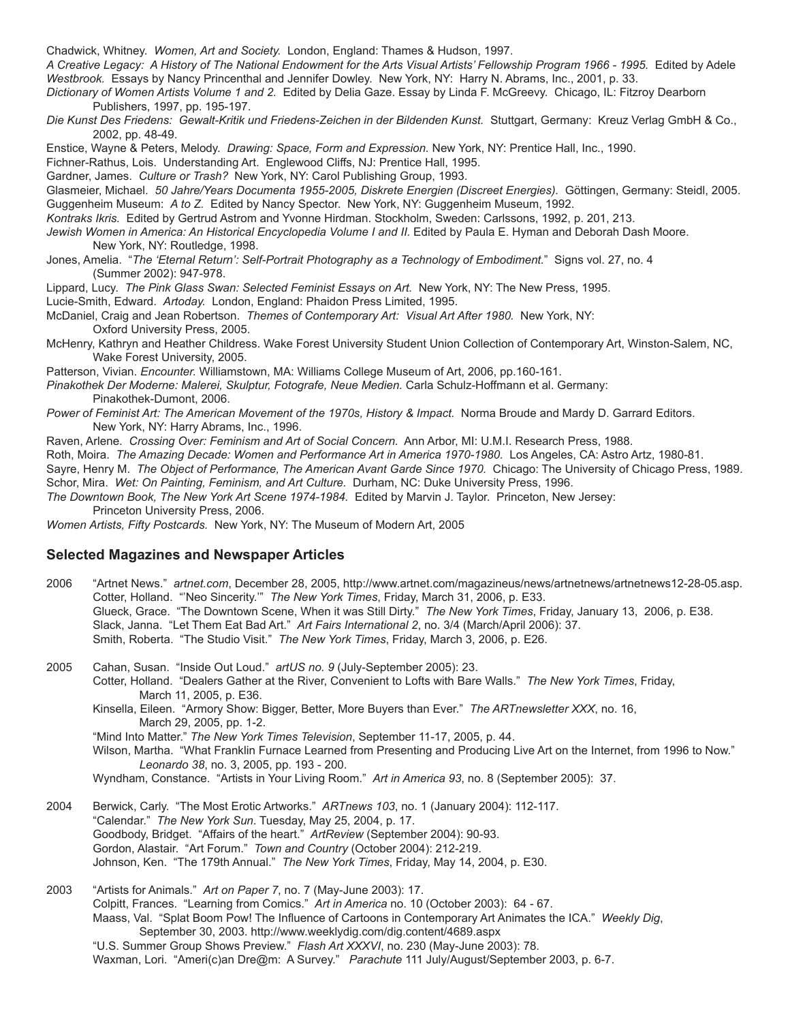Chadwick, Whitney. *Women, Art and Society.* London, England: Thames & Hudson, 1997.

*A Creative Legacy: A History of The National Endowment for the Arts Visual Artists' Fellowship Program 1966 - 1995.* Edited by Adele *Westbrook.* Essays by Nancy Princenthal and Jennifer Dowley. New York, NY: Harry N. Abrams, Inc., 2001, p. 33.

*Dictionary of Women Artists Volume 1 and 2.* Edited by Delia Gaze. Essay by Linda F. McGreevy. Chicago, IL: Fitzroy Dearborn Publishers, 1997, pp. 195-197.

*Die Kunst Des Friedens: Gewalt-Kritik und Friedens-Zeichen in der Bildenden Kunst.* Stuttgart, Germany: Kreuz Verlag GmbH & Co., 2002, pp. 48-49.

Enstice, Wayne & Peters, Melody. *Drawing: Space, Form and Expression.* New York, NY: Prentice Hall, Inc., 1990.

Fichner-Rathus, Lois. Understanding Art. Englewood Cliffs, NJ: Prentice Hall, 1995.

Gardner, James. *Culture or Trash?* New York, NY: Carol Publishing Group, 1993.

Glasmeier, Michael. *50 Jahre/Years Documenta 1955-2005, Diskrete Energien (Discreet Energies).* Göttingen, Germany: Steidl, 2005. Guggenheim Museum: *A to Z.* Edited by Nancy Spector. New York, NY: Guggenheim Museum, 1992.

*Kontraks Ikris.* Edited by Gertrud Astrom and Yvonne Hirdman. Stockholm, Sweden: Carlssons, 1992, p. 201, 213.

*Jewish Women in America: An Historical Encyclopedia Volume I and II.* Edited by Paula E. Hyman and Deborah Dash Moore. New York, NY: Routledge, 1998.

Jones, Amelia. "*The 'Eternal Return': Self-Portrait Photography as a Technology of Embodiment.*" Signs vol. 27, no. 4 (Summer 2002): 947-978.

Lippard, Lucy. *The Pink Glass Swan: Selected Feminist Essays on Art.* New York, NY: The New Press, 1995.

Lucie-Smith, Edward. *Artoday.* London, England: Phaidon Press Limited, 1995.

McDaniel, Craig and Jean Robertson. *Themes of Contemporary Art: Visual Art After 1980.* New York, NY: Oxford University Press, 2005.

McHenry, Kathryn and Heather Childress. Wake Forest University Student Union Collection of Contemporary Art, Winston-Salem, NC, Wake Forest University, 2005.

Patterson, Vivian. *Encounter.* Williamstown, MA: Williams College Museum of Art, 2006, pp.160-161.

*Pinakothek Der Moderne: Malerei, Skulptur, Fotografe, Neue Medien.* Carla Schulz-Hoffmann et al. Germany: Pinakothek-Dumont, 2006.

Power of Feminist Art: The American Movement of the 1970s, History & Impact. Norma Broude and Mardy D. Garrard Editors. New York, NY: Harry Abrams, Inc., 1996.

Raven, Arlene. *Crossing Over: Feminism and Art of Social Concern.* Ann Arbor, MI: U.M.I. Research Press, 1988.

Roth, Moira. *The Amazing Decade: Women and Performance Art in America 1970-1980.* Los Angeles, CA: Astro Artz, 1980-81.

Sayre, Henry M. *The Object of Performance, The American Avant Garde Since 1970.* Chicago: The University of Chicago Press, 1989. Schor, Mira. *Wet: On Painting, Feminism, and Art Culture.* Durham, NC: Duke University Press, 1996.

*The Downtown Book, The New York Art Scene 1974-1984.* Edited by Marvin J. Taylor. Princeton, New Jersey:

Princeton University Press, 2006.

*Women Artists, Fifty Postcards.* New York, NY: The Museum of Modern Art, 2005

#### **Selected Magazines and Newspaper Articles**

2006 "Artnet News." *artnet.com*, December 28, 2005, http://www.artnet.com/magazineus/news/artnetnews/artnetnews12-28-05.asp. Cotter, Holland. "'Neo Sincerity.'" *The New York Times*, Friday, March 31, 2006, p. E33. Glueck, Grace. "The Downtown Scene, When it was Still Dirty." *The New York Times*, Friday, January 13, 2006, p. E38. Slack, Janna. "Let Them Eat Bad Art." *Art Fairs International 2*, no. 3/4 (March/April 2006): 37. Smith, Roberta. "The Studio Visit." *The New York Times*, Friday, March 3, 2006, p. E26.

2005 Cahan, Susan. "Inside Out Loud." *artUS no. 9* (July-September 2005): 23. Cotter, Holland. "Dealers Gather at the River, Convenient to Lofts with Bare Walls." *The New York Times*, Friday, March 11, 2005, p. E36.

Kinsella, Eileen. "Armory Show: Bigger, Better, More Buyers than Ever." *The ARTnewsletter XXX*, no. 16, March 29, 2005, pp. 1-2.

"Mind Into Matter." *The New York Times Television*, September 11-17, 2005, p. 44.

Wilson, Martha. "What Franklin Furnace Learned from Presenting and Producing Live Art on the Internet, from 1996 to Now." *Leonardo 38*, no. 3, 2005, pp. 193 - 200.

Wyndham, Constance. "Artists in Your Living Room." *Art in America 93*, no. 8 (September 2005): 37.

2004 Berwick, Carly. "The Most Erotic Artworks." *ARTnews 103*, no. 1 (January 2004): 112-117. "Calendar." *The New York Sun*. Tuesday, May 25, 2004, p. 17. Goodbody, Bridget. "Affairs of the heart." *ArtReview* (September 2004): 90-93. Gordon, Alastair. "Art Forum." *Town and Country* (October 2004): 212-219. Johnson, Ken. "The 179th Annual." *The New York Times*, Friday, May 14, 2004, p. E30.

2003 "Artists for Animals." *Art on Paper 7*, no. 7 (May-June 2003): 17. Colpitt, Frances. "Learning from Comics." *Art in America* no. 10 (October 2003): 64 - 67. Maass, Val. "Splat Boom Pow! The Influence of Cartoons in Contemporary Art Animates the ICA." *Weekly Dig*, September 30, 2003. http://www.weeklydig.com/dig.content/4689.aspx "U.S. Summer Group Shows Preview." *Flash Art XXXVI*, no. 230 (May-June 2003): 78. Waxman, Lori. "Ameri(c)an Dre@m: A Survey." *Parachute* 111 July/August/September 2003, p. 6-7.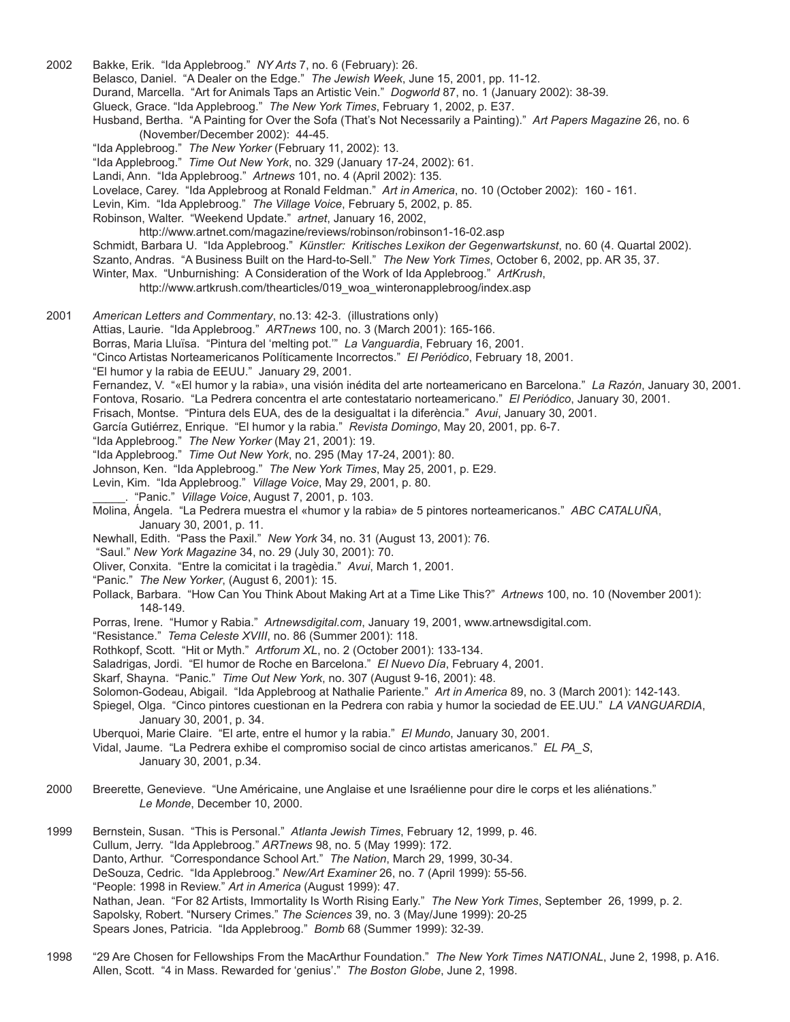2002 Bakke, Erik. "Ida Applebroog." *NY Arts* 7, no. 6 (February): 26. Belasco, Daniel. "A Dealer on the Edge." *The Jewish Week*, June 15, 2001, pp. 11-12. Durand, Marcella. "Art for Animals Taps an Artistic Vein." *Dogworld* 87, no. 1 (January 2002): 38-39. Glueck, Grace. "Ida Applebroog." *The New York Times*, February 1, 2002, p. E37. Husband, Bertha. "A Painting for Over the Sofa (That's Not Necessarily a Painting)." *Art Papers Magazine* 26, no. 6 (November/December 2002): 44-45. "Ida Applebroog." *The New Yorker* (February 11, 2002): 13. "Ida Applebroog." *Time Out New York*, no. 329 (January 17-24, 2002): 61. Landi, Ann. "Ida Applebroog." *Artnews* 101, no. 4 (April 2002): 135. Lovelace, Carey. "Ida Applebroog at Ronald Feldman." *Art in America*, no. 10 (October 2002): 160 - 161. Levin, Kim. "Ida Applebroog." *The Village Voice*, February 5, 2002, p. 85. Robinson, Walter. "Weekend Update." *artnet*, January 16, 2002, http://www.artnet.com/magazine/reviews/robinson/robinson1-16-02.asp Schmidt, Barbara U. "Ida Applebroog." *Künstler: Kritisches Lexikon der Gegenwartskunst*, no. 60 (4. Quartal 2002). Szanto, Andras. "A Business Built on the Hard-to-Sell." *The New York Times*, October 6, 2002, pp. AR 35, 37. Winter, Max. "Unburnishing: A Consideration of the Work of Ida Applebroog." *ArtKrush*, http://www.artkrush.com/thearticles/019\_woa\_winteronapplebroog/index.asp 2001 *American Letters and Commentary*, no.13: 42-3. (illustrations only) Attias, Laurie. "Ida Applebroog." *ARTnews* 100, no. 3 (March 2001): 165-166. Borras, Maria Lluïsa. "Pintura del 'melting pot.'" *La Vanguardia*, February 16, 2001. "Cinco Artistas Norteamericanos Políticamente Incorrectos." *El Periódico*, February 18, 2001. "El humor y la rabia de EEUU." January 29, 2001. Fernandez, V. "«El humor y la rabia», una visión inédita del arte norteamericano en Barcelona." *La Razón*, January 30, 2001. Fontova, Rosario. "La Pedrera concentra el arte contestatario norteamericano." *El Periódico*, January 30, 2001. Frisach, Montse. "Pintura dels EUA, des de la desigualtat i la diferència." *Avui*, January 30, 2001. García Gutiérrez, Enrique. "El humor y la rabia." *Revista Domingo*, May 20, 2001, pp. 6-7. "Ida Applebroog." *The New Yorker* (May 21, 2001): 19. "Ida Applebroog." *Time Out New York*, no. 295 (May 17-24, 2001): 80. Johnson, Ken. "Ida Applebroog." *The New York Times*, May 25, 2001, p. E29. Levin, Kim. "Ida Applebroog." *Village Voice*, May 29, 2001, p. 80. \_\_\_\_\_. "Panic." *Village Voice*, August 7, 2001, p. 103. Molina, Ángela. "La Pedrera muestra el «humor y la rabia» de 5 pintores norteamericanos." *ABC CATALUÑA*, January 30, 2001, p. 11. Newhall, Edith. "Pass the Paxil." *New York* 34, no. 31 (August 13, 2001): 76. "Saul." *New York Magazine* 34, no. 29 (July 30, 2001): 70. Oliver, Conxita. "Entre la comicitat i la tragèdia." *Avui*, March 1, 2001. "Panic." *The New Yorker*, (August 6, 2001): 15. Pollack, Barbara. "How Can You Think About Making Art at a Time Like This?" *Artnews* 100, no. 10 (November 2001): 148-149. Porras, Irene. "Humor y Rabia." *Artnewsdigital.com*, January 19, 2001, www.artnewsdigital.com. "Resistance." *Tema Celeste XVIII*, no. 86 (Summer 2001): 118. Rothkopf, Scott. "Hit or Myth." *Artforum XL*, no. 2 (October 2001): 133-134. Saladrigas, Jordi. "El humor de Roche en Barcelona." *El Nuevo Día*, February 4, 2001. Skarf, Shayna. "Panic." *Time Out New York*, no. 307 (August 9-16, 2001): 48. Solomon-Godeau, Abigail. "Ida Applebroog at Nathalie Pariente." *Art in America* 89, no. 3 (March 2001): 142-143. Spiegel, Olga. "Cinco pintores cuestionan en la Pedrera con rabia y humor la sociedad de EE.UU." *LA VANGUARDIA*, January 30, 2001, p. 34. Uberquoi, Marie Claire. "El arte, entre el humor y la rabia." *El Mundo*, January 30, 2001. Vidal, Jaume. "La Pedrera exhibe el compromiso social de cinco artistas americanos." *EL PA\_S*, January 30, 2001, p.34. 2000 Breerette, Genevieve. "Une Américaine, une Anglaise et une Israélienne pour dire le corps et les aliénations." *Le Monde*, December 10, 2000. 1999 Bernstein, Susan. "This is Personal." *Atlanta Jewish Times*, February 12, 1999, p. 46. Cullum, Jerry. "Ida Applebroog." *ARTnews* 98, no. 5 (May 1999): 172. Danto, Arthur. "Correspondance School Art." *The Nation*, March 29, 1999, 30-34. DeSouza, Cedric. "Ida Applebroog." *New/Art Examiner* 26, no. 7 (April 1999): 55-56. "People: 1998 in Review." *Art in America* (August 1999): 47. Nathan, Jean. "For 82 Artists, Immortality Is Worth Rising Early." *The New York Times*, September 26, 1999, p. 2. Sapolsky, Robert. "Nursery Crimes." *The Sciences* 39, no. 3 (May/June 1999): 20-25 Spears Jones, Patricia. "Ida Applebroog." *Bomb* 68 (Summer 1999): 32-39.

1998 "29 Are Chosen for Fellowships From the MacArthur Foundation." *The New York Times NATIONAL*, June 2, 1998, p. A16. Allen, Scott. "4 in Mass. Rewarded for 'genius'." *The Boston Globe*, June 2, 1998.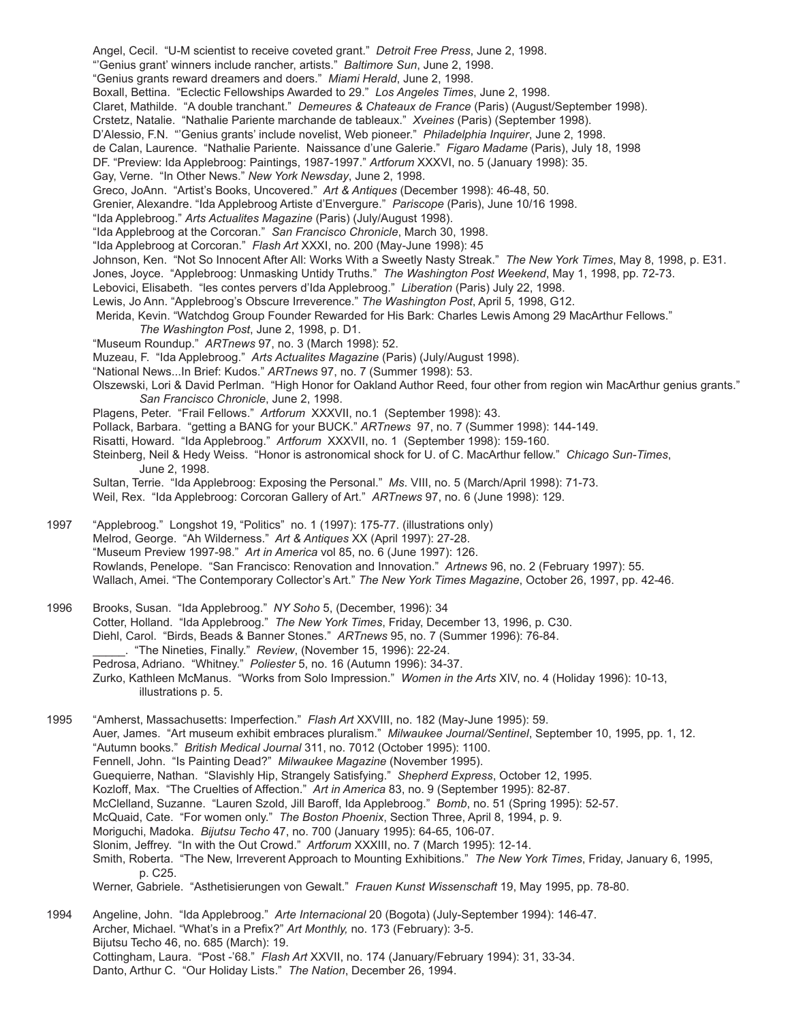Angel, Cecil. "U-M scientist to receive coveted grant." *Detroit Free Press*, June 2, 1998. "'Genius grant' winners include rancher, artists." *Baltimore Sun*, June 2, 1998. "Genius grants reward dreamers and doers." *Miami Herald*, June 2, 1998. Boxall, Bettina. "Eclectic Fellowships Awarded to 29." *Los Angeles Times*, June 2, 1998. Claret, Mathilde. "A double tranchant." *Demeures & Chateaux de France* (Paris) (August/September 1998). Crstetz, Natalie. "Nathalie Pariente marchande de tableaux." *Xveines* (Paris) (September 1998). D'Alessio, F.N. "'Genius grants' include novelist, Web pioneer." *Philadelphia Inquirer*, June 2, 1998. de Calan, Laurence. "Nathalie Pariente. Naissance d'une Galerie." *Figaro Madame* (Paris), July 18, 1998 DF. "Preview: Ida Applebroog: Paintings, 1987-1997." *Artforum* XXXVI, no. 5 (January 1998): 35. Gay, Verne. "In Other News." *New York Newsday*, June 2, 1998. Greco, JoAnn. "Artist's Books, Uncovered." *Art & Antiques* (December 1998): 46-48, 50. Grenier, Alexandre. "Ida Applebroog Artiste d'Envergure." *Pariscope* (Paris), June 10/16 1998. "Ida Applebroog." *Arts Actualites Magazine* (Paris) (July/August 1998). "Ida Applebroog at the Corcoran." *San Francisco Chronicle*, March 30, 1998. "Ida Applebroog at Corcoran." *Flash Art* XXXI, no. 200 (May-June 1998): 45 Johnson, Ken. "Not So Innocent After All: Works With a Sweetly Nasty Streak." *The New York Times*, May 8, 1998, p. E31. Jones, Joyce. "Applebroog: Unmasking Untidy Truths." *The Washington Post Weekend*, May 1, 1998, pp. 72-73. Lebovici, Elisabeth. "les contes pervers d'Ida Applebroog." *Liberation* (Paris) July 22, 1998. Lewis, Jo Ann. "Applebroog's Obscure Irreverence." *The Washington Post*, April 5, 1998, G12. Merida, Kevin. "Watchdog Group Founder Rewarded for His Bark: Charles Lewis Among 29 MacArthur Fellows." *The Washington Post*, June 2, 1998, p. D1. "Museum Roundup." *ARTnews* 97, no. 3 (March 1998): 52. Muzeau, F. "Ida Applebroog." *Arts Actualites Magazine* (Paris) (July/August 1998). "National News...In Brief: Kudos." *ARTnews* 97, no. 7 (Summer 1998): 53. Olszewski, Lori & David Perlman. "High Honor for Oakland Author Reed, four other from region win MacArthur genius grants." *San Francisco Chronicle*, June 2, 1998. Plagens, Peter. "Frail Fellows." *Artforum* XXXVII, no.1 (September 1998): 43. Pollack, Barbara. "getting a BANG for your BUCK." *ARTnews* 97, no. 7 (Summer 1998): 144-149. Risatti, Howard. "Ida Applebroog." *Artforum* XXXVII, no. 1 (September 1998): 159-160. Steinberg, Neil & Hedy Weiss. "Honor is astronomical shock for U. of C. MacArthur fellow." *Chicago Sun-Times*, June 2, 1998. Sultan, Terrie. "Ida Applebroog: Exposing the Personal." *Ms*. VIII, no. 5 (March/April 1998): 71-73. Weil, Rex. "Ida Applebroog: Corcoran Gallery of Art." *ARTnews* 97, no. 6 (June 1998): 129. 1997 "Applebroog." Longshot 19, "Politics" no. 1 (1997): 175-77. (illustrations only) Melrod, George. "Ah Wilderness." *Art & Antiques* XX (April 1997): 27-28. "Museum Preview 1997-98." *Art in America* vol 85, no. 6 (June 1997): 126. Rowlands, Penelope. "San Francisco: Renovation and Innovation." *Artnews* 96, no. 2 (February 1997): 55. Wallach, Amei. "The Contemporary Collector's Art." *The New York Times Magazine*, October 26, 1997, pp. 42-46. 1996 Brooks, Susan. "Ida Applebroog." *NY Soho* 5, (December, 1996): 34 Cotter, Holland. "Ida Applebroog." *The New York Times*, Friday, December 13, 1996, p. C30. Diehl, Carol. "Birds, Beads & Banner Stones." *ARTnews* 95, no. 7 (Summer 1996): 76-84. \_\_\_\_\_. "The Nineties, Finally." *Review*, (November 15, 1996): 22-24. Pedrosa, Adriano. "Whitney." *Poliester* 5, no. 16 (Autumn 1996): 34-37. Zurko, Kathleen McManus. "Works from Solo Impression." *Women in the Arts* XIV, no. 4 (Holiday 1996): 10-13, illustrations p. 5. 1995 "Amherst, Massachusetts: Imperfection." *Flash Art* XXVIII, no. 182 (May-June 1995): 59. Auer, James. "Art museum exhibit embraces pluralism." *Milwaukee Journal/Sentinel*, September 10, 1995, pp. 1, 12. "Autumn books." *British Medical Journal* 311, no. 7012 (October 1995): 1100. Fennell, John. "Is Painting Dead?" *Milwaukee Magazine* (November 1995). Guequierre, Nathan. "Slavishly Hip, Strangely Satisfying." *Shepherd Express*, October 12, 1995. Kozloff, Max. "The Cruelties of Affection." *Art in America* 83, no. 9 (September 1995): 82-87. McClelland, Suzanne. "Lauren Szold, Jill Baroff, Ida Applebroog." *Bomb*, no. 51 (Spring 1995): 52-57. McQuaid, Cate. "For women only." *The Boston Phoenix*, Section Three, April 8, 1994, p. 9. Moriguchi, Madoka. *Bijutsu Techo* 47, no. 700 (January 1995): 64-65, 106-07. Slonim, Jeffrey. "In with the Out Crowd." *Artforum* XXXIII, no. 7 (March 1995): 12-14. Smith, Roberta. "The New, Irreverent Approach to Mounting Exhibitions." *The New York Times*, Friday, January 6, 1995, p. C25. Werner, Gabriele. "Asthetisierungen von Gewalt." *Frauen Kunst Wissenschaft* 19, May 1995, pp. 78-80.

1994 Angeline, John. "Ida Applebroog." *Arte Internacional* 20 (Bogota) (July-September 1994): 146-47. Archer, Michael. "What's in a Prefix?" *Art Monthly,* no. 173 (February): 3-5. Bijutsu Techo 46, no. 685 (March): 19. Cottingham, Laura. "Post -'68." *Flash Art* XXVII, no. 174 (January/February 1994): 31, 33-34. Danto, Arthur C. "Our Holiday Lists." *The Nation*, December 26, 1994.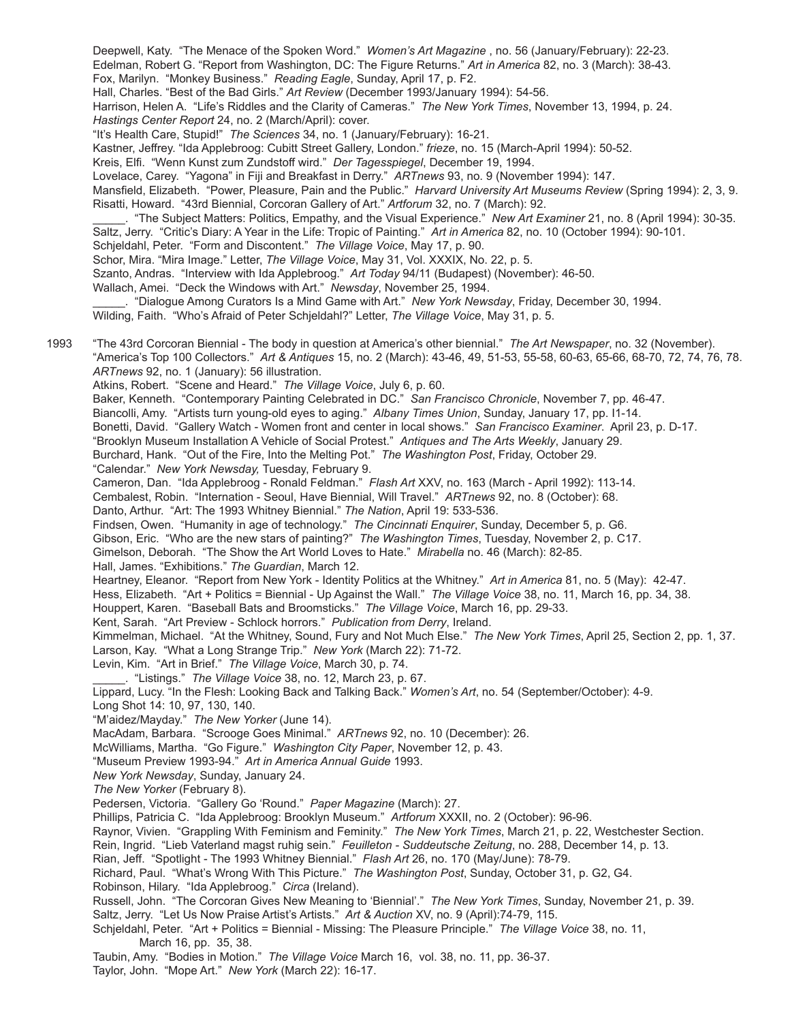Deepwell, Katy. "The Menace of the Spoken Word." *Women's Art Magazine* , no. 56 (January/February): 22-23. Edelman, Robert G. "Report from Washington, DC: The Figure Returns." *Art in America* 82, no. 3 (March): 38-43. Fox, Marilyn. "Monkey Business." *Reading Eagle*, Sunday, April 17, p. F2.

Hall, Charles. "Best of the Bad Girls." *Art Review* (December 1993/January 1994): 54-56.

Harrison, Helen A. "Life's Riddles and the Clarity of Cameras." *The New York Times*, November 13, 1994, p. 24. *Hastings Center Report* 24, no. 2 (March/April): cover.

"It's Health Care, Stupid!" *The Sciences* 34, no. 1 (January/February): 16-21.

Kastner, Jeffrey. "Ida Applebroog: Cubitt Street Gallery, London." *frieze*, no. 15 (March-April 1994): 50-52.

 Kreis, Elfi. "Wenn Kunst zum Zundstoff wird." *Der Tagesspiegel*, December 19, 1994.

Lovelace, Carey. "Yagona" in Fiji and Breakfast in Derry." *ARTnews* 93, no. 9 (November 1994): 147.

Mansfield, Elizabeth. "Power, Pleasure, Pain and the Public." *Harvard University Art Museums Review* (Spring 1994): 2, 3, 9. Risatti, Howard. "43rd Biennial, Corcoran Gallery of Art." *Artforum* 32, no. 7 (March): 92.

\_\_\_\_\_. "The Subject Matters: Politics, Empathy, and the Visual Experience." *New Art Examiner* 21, no. 8 (April 1994): 30-35. Saltz, Jerry. "Critic's Diary: A Year in the Life: Tropic of Painting." *Art in America* 82, no. 10 (October 1994): 90-101.

Schjeldahl, Peter. "Form and Discontent." *The Village Voice*, May 17, p. 90.

Schor, Mira. "Mira Image." Letter, *The Village Voice*, May 31, Vol. XXXIX, No. 22, p. 5.

Szanto, Andras. "Interview with Ida Applebroog." *Art Today* 94/11 (Budapest) (November): 46-50.

Wallach, Amei. "Deck the Windows with Art." *Newsday*, November 25, 1994.

\_\_\_\_\_. "Dialogue Among Curators Is a Mind Game with Art." *New York Newsday*, Friday, December 30, 1994. Wilding, Faith. "Who's Afraid of Peter Schjeldahl?" Letter, *The Village Voice*, May 31, p. 5.

1993 "The 43rd Corcoran Biennial - The body in question at America's other biennial." *The Art Newspaper*, no. 32 (November). "America's Top 100 Collectors." *Art & Antiques* 15, no. 2 (March): 43-46, 49, 51-53, 55-58, 60-63, 65-66, 68-70, 72, 74, 76, 78. *ARTnews* 92, no. 1 (January): 56 illustration.

Atkins, Robert. "Scene and Heard." *The Village Voice*, July 6, p. 60.

Baker, Kenneth. "Contemporary Painting Celebrated in DC." *San Francisco Chronicle*, November 7, pp. 46-47.

Biancolli, Amy. "Artists turn young-old eyes to aging." *Albany Times Union*, Sunday, January 17, pp. I1-14.

Bonetti, David. "Gallery Watch - Women front and center in local shows." *San Francisco Examiner*. April 23, p. D-17.

"Brooklyn Museum Installation A Vehicle of Social Protest." *Antiques and The Arts Weekly*, January 29.

Burchard, Hank. "Out of the Fire, Into the Melting Pot." *The Washington Post*, Friday, October 29.

"Calendar." *New York Newsday,* Tuesday, February 9.

Cameron, Dan. "Ida Applebroog - Ronald Feldman." *Flash Art* XXV, no. 163 (March - April 1992): 113-14.

Cembalest, Robin. "Internation - Seoul, Have Biennial, Will Travel." *ARTnews* 92, no. 8 (October): 68.

Danto, Arthur. "Art: The 1993 Whitney Biennial." *The Nation*, April 19: 533-536.

Findsen, Owen. "Humanity in age of technology." *The Cincinnati Enquirer*, Sunday, December 5, p. G6.

Gibson, Eric. "Who are the new stars of painting?" *The Washington Times*, Tuesday, November 2, p. C17.

Gimelson, Deborah. "The Show the Art World Loves to Hate." *Mirabella* no. 46 (March): 82-85.

Hall, James. "Exhibitions." *The Guardian*, March 12.

Heartney, Eleanor. "Report from New York - Identity Politics at the Whitney." *Art in America* 81, no. 5 (May): 42-47.

Hess, Elizabeth. "Art + Politics = Biennial - Up Against the Wall." *The Village Voice* 38, no. 11, March 16, pp. 34, 38.

Houppert, Karen. "Baseball Bats and Broomsticks." *The Village Voice*, March 16, pp. 29-33.

Kent, Sarah. "Art Preview - Schlock horrors." *Publication from Derry*, Ireland.

Kimmelman, Michael. "At the Whitney, Sound, Fury and Not Much Else." *The New York Times*, April 25, Section 2, pp. 1, 37. Larson, Kay. "What a Long Strange Trip." *New York* (March 22): 71-72.

Levin, Kim. "Art in Brief." *The Village Voice*, March 30, p. 74.

\_\_\_\_\_. "Listings." *The Village Voice* 38, no. 12, March 23, p. 67.

Lippard, Lucy. "In the Flesh: Looking Back and Talking Back." *Women's Art*, no. 54 (September/October): 4-9.

Long Shot 14: 10, 97, 130, 140.

"M'aidez/Mayday." *The New Yorker* (June 14).

MacAdam, Barbara. "Scrooge Goes Minimal." *ARTnews* 92, no. 10 (December): 26.

McWilliams, Martha. "Go Figure." *Washington City Paper*, November 12, p. 43.

"Museum Preview 1993-94." *Art in America Annual Guide* 1993.

*New York Newsday*, Sunday, January 24.

*The New Yorker* (February 8).

Pedersen, Victoria. "Gallery Go 'Round." *Paper Magazine* (March): 27.

Phillips, Patricia C. "Ida Applebroog: Brooklyn Museum." *Artforum* XXXII, no. 2 (October): 96-96.

Raynor, Vivien. "Grappling With Feminism and Feminity." *The New York Times*, March 21, p. 22, Westchester Section.

Rein, Ingrid. "Lieb Vaterland magst ruhig sein." *Feuilleton - Suddeutsche Zeitung*, no. 288, December 14, p. 13.

Rian, Jeff. "Spotlight - The 1993 Whitney Biennial." *Flash Art* 26, no. 170 (May/June): 78-79.

Richard, Paul. "What's Wrong With This Picture." *The Washington Post*, Sunday, October 31, p. G2, G4.

Robinson, Hilary. "Ida Applebroog." *Circa* (Ireland).

Russell, John. "The Corcoran Gives New Meaning to 'Biennial'." *The New York Times*, Sunday, November 21, p. 39. Saltz, Jerry. "Let Us Now Praise Artist's Artists." *Art & Auction* XV, no. 9 (April):74-79, 115.

Schjeldahl, Peter. "Art + Politics = Biennial - Missing: The Pleasure Principle." *The Village Voice* 38, no. 11, March 16, pp. 35, 38.

Taubin, Amy. "Bodies in Motion." *The Village Voice* March 16, vol. 38, no. 11, pp. 36-37. Taylor, John. "Mope Art." *New York* (March 22): 16-17.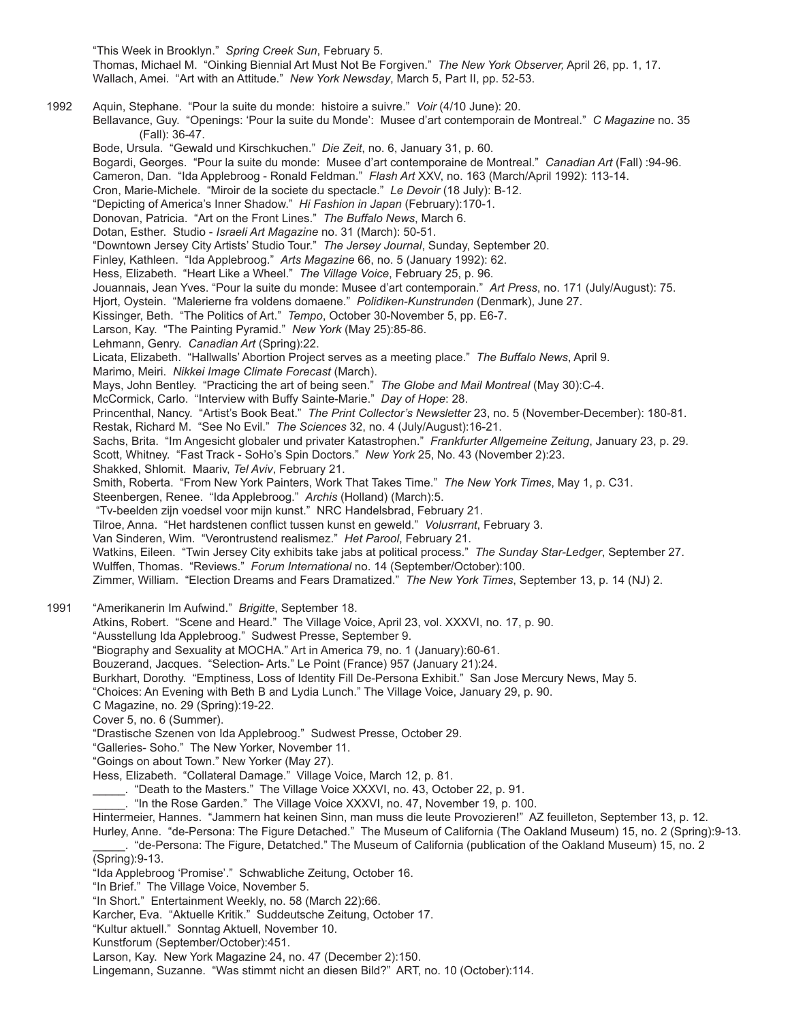"This Week in Brooklyn." *Spring Creek Sun*, February 5. Thomas, Michael M. "Oinking Biennial Art Must Not Be Forgiven." *The New York Observer,* April 26, pp. 1, 17. Wallach, Amei. "Art with an Attitude." *New York Newsday*, March 5, Part II, pp. 52-53. 1992 Aquin, Stephane. "Pour la suite du monde: histoire a suivre." *Voir* (4/10 June): 20. Bellavance, Guy. "Openings: 'Pour la suite du Monde': Musee d'art contemporain de Montreal." *C Magazine* no. 35 (Fall): 36-47. Bode, Ursula. "Gewald und Kirschkuchen." *Die Zeit*, no. 6, January 31, p. 60. Bogardi, Georges. "Pour la suite du monde: Musee d'art contemporaine de Montreal." *Canadian Art* (Fall) :94-96. Cameron, Dan. "Ida Applebroog - Ronald Feldman." *Flash Art* XXV, no. 163 (March/April 1992): 113-14. Cron, Marie-Michele. "Miroir de la societe du spectacle." *Le Devoir* (18 July): B-12. "Depicting of America's Inner Shadow." *Hi Fashion in Japan* (February):170-1. Donovan, Patricia. "Art on the Front Lines." *The Buffalo News*, March 6. Dotan, Esther. Studio - *Israeli Art Magazine* no. 31 (March): 50-51. "Downtown Jersey City Artists' Studio Tour." *The Jersey Journal*, Sunday, September 20. Finley, Kathleen. "Ida Applebroog." *Arts Magazine* 66, no. 5 (January 1992): 62. Hess, Elizabeth. "Heart Like a Wheel." *The Village Voice*, February 25, p. 96. Jouannais, Jean Yves. "Pour la suite du monde: Musee d'art contemporain." *Art Press*, no. 171 (July/August): 75. Hjort, Oystein. "Malerierne fra voldens domaene." *Polidiken-Kunstrunden* (Denmark), June 27. Kissinger, Beth. "The Politics of Art." *Tempo*, October 30-November 5, pp. E6-7. Larson, Kay. "The Painting Pyramid." *New York* (May 25):85-86. Lehmann, Genry. *Canadian Art* (Spring):22. Licata, Elizabeth. "Hallwalls' Abortion Project serves as a meeting place." *The Buffalo News*, April 9. Marimo, Meiri. *Nikkei Image Climate Forecast* (March). Mays, John Bentley. "Practicing the art of being seen." *The Globe and Mail Montreal* (May 30):C-4. McCormick, Carlo. "Interview with Buffy Sainte-Marie." *Day of Hope*: 28. Princenthal, Nancy. "Artist's Book Beat." *The Print Collector's Newsletter* 23, no. 5 (November-December): 180-81. Restak, Richard M. "See No Evil." *The Sciences* 32, no. 4 (July/August):16-21. Sachs, Brita. "Im Angesicht globaler und privater Katastrophen." *Frankfurter Allgemeine Zeitung*, January 23, p. 29. Scott, Whitney. "Fast Track - SoHo's Spin Doctors." *New York* 25, No. 43 (November 2):23. Shakked, Shlomit. Maariv, *Tel Aviv*, February 21. Smith, Roberta. "From New York Painters, Work That Takes Time." *The New York Times*, May 1, p. C31. Steenbergen, Renee. "Ida Applebroog." *Archis* (Holland) (March):5. "Tv-beelden zijn voedsel voor mijn kunst." NRC Handelsbrad, February 21. Tilroe, Anna. "Het hardstenen conflict tussen kunst en geweld." *Volusrrant*, February 3. Van Sinderen, Wim. "Verontrustend realismez." *Het Parool*, February 21. Watkins, Eileen. "Twin Jersey City exhibits take jabs at political process." *The Sunday Star-Ledger*, September 27. Wulffen, Thomas. "Reviews." *Forum International* no. 14 (September/October):100. Zimmer, William. "Election Dreams and Fears Dramatized." *The New York Times*, September 13, p. 14 (NJ) 2. 1991 "Amerikanerin Im Aufwind." *Brigitte*, September 18. Atkins, Robert. "Scene and Heard." The Village Voice, April 23, vol. XXXVI, no. 17, p. 90. "Ausstellung Ida Applebroog." Sudwest Presse, September 9. "Biography and Sexuality at MOCHA." Art in America 79, no. 1 (January):60-61. Bouzerand, Jacques. "Selection- Arts." Le Point (France) 957 (January 21):24. Burkhart, Dorothy. "Emptiness, Loss of Identity Fill De-Persona Exhibit." San Jose Mercury News, May 5. "Choices: An Evening with Beth B and Lydia Lunch." The Village Voice, January 29, p. 90. C Magazine, no. 29 (Spring):19-22. Cover 5, no. 6 (Summer). "Drastische Szenen von Ida Applebroog." Sudwest Presse, October 29. "Galleries- Soho." The New Yorker, November 11. "Goings on about Town." New Yorker (May 27). Hess, Elizabeth. "Collateral Damage." Village Voice, March 12, p. 81. \_\_\_\_\_. "Death to the Masters." The Village Voice XXXVI, no. 43, October 22, p. 91. \_\_\_\_\_. "In the Rose Garden." The Village Voice XXXVI, no. 47, November 19, p. 100. Hintermeier, Hannes. "Jammern hat keinen Sinn, man muss die leute Provozieren!" AZ feuilleton, September 13, p. 12. Hurley, Anne. "de-Persona: The Figure Detached." The Museum of California (The Oakland Museum) 15, no. 2 (Spring):9-13. \_\_\_\_\_. "de-Persona: The Figure, Detatched." The Museum of California (publication of the Oakland Museum) 15, no. 2 (Spring):9-13. "Ida Applebroog 'Promise'." Schwabliche Zeitung, October 16. "In Brief." The Village Voice, November 5. "In Short." Entertainment Weekly, no. 58 (March 22):66. Karcher, Eva. "Aktuelle Kritik." Suddeutsche Zeitung, October 17. "Kultur aktuell." Sonntag Aktuell, November 10. Kunstforum (September/October):451. Larson, Kay. New York Magazine 24, no. 47 (December 2):150.

Lingemann, Suzanne. "Was stimmt nicht an diesen Bild?" ART, no. 10 (October):114.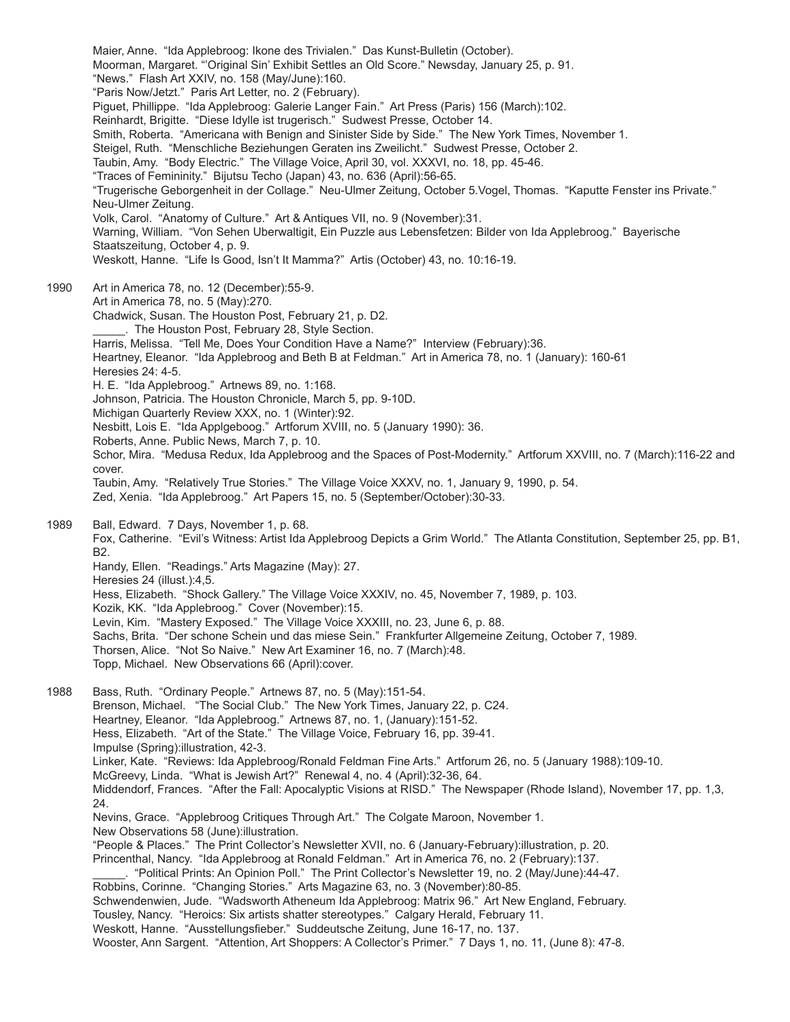Maier, Anne. "Ida Applebroog: Ikone des Trivialen." Das Kunst-Bulletin (October). Moorman, Margaret. "'Original Sin' Exhibit Settles an Old Score." Newsday, January 25, p. 91. "News." Flash Art XXIV, no. 158 (May/June):160. "Paris Now/Jetzt." Paris Art Letter, no. 2 (February). Piguet, Phillippe. "Ida Applebroog: Galerie Langer Fain." Art Press (Paris) 156 (March):102. Reinhardt, Brigitte. "Diese Idylle ist trugerisch." Sudwest Presse, October 14. Smith, Roberta. "Americana with Benign and Sinister Side by Side." The New York Times, November 1. Steigel, Ruth. "Menschliche Beziehungen Geraten ins Zweilicht." Sudwest Presse, October 2. Taubin, Amy. "Body Electric." The Village Voice, April 30, vol. XXXVI, no. 18, pp. 45-46. "Traces of Femininity." Bijutsu Techo (Japan) 43, no. 636 (April):56-65. "Trugerische Geborgenheit in der Collage." Neu-Ulmer Zeitung, October 5.Vogel, Thomas. "Kaputte Fenster ins Private." Neu-Ulmer Zeitung. Volk, Carol. "Anatomy of Culture." Art & Antiques VII, no. 9 (November):31. Warning, William. "Von Sehen Uberwaltigit, Ein Puzzle aus Lebensfetzen: Bilder von Ida Applebroog." Bayerische Staatszeitung, October 4, p. 9. Weskott, Hanne. "Life Is Good, Isn't It Mamma?" Artis (October) 43, no. 10:16-19. 1990 Art in America 78, no. 12 (December):55-9. Art in America 78, no. 5 (May):270. Chadwick, Susan. The Houston Post, February 21, p. D2. The Houston Post, February 28, Style Section. Harris, Melissa. "Tell Me, Does Your Condition Have a Name?" Interview (February):36. Heartney, Eleanor. "Ida Applebroog and Beth B at Feldman." Art in America 78, no. 1 (January): 160-61 Heresies 24: 4-5. H. E. "Ida Applebroog." Artnews 89, no. 1:168. Johnson, Patricia. The Houston Chronicle, March 5, pp. 9-10D. Michigan Quarterly Review XXX, no. 1 (Winter):92. Nesbitt, Lois E. "Ida Applgeboog." Artforum XVIII, no. 5 (January 1990): 36. Roberts, Anne. Public News, March 7, p. 10. Schor, Mira. "Medusa Redux, Ida Applebroog and the Spaces of Post-Modernity." Artforum XXVIII, no. 7 (March):116-22 and cover. Taubin, Amy. "Relatively True Stories." The Village Voice XXXV, no. 1, January 9, 1990, p. 54. Zed, Xenia. "Ida Applebroog." Art Papers 15, no. 5 (September/October):30-33. 1989 Ball, Edward. 7 Days, November 1, p. 68. Fox, Catherine. "Evil's Witness: Artist Ida Applebroog Depicts a Grim World." The Atlanta Constitution, September 25, pp. B1, B2. Handy, Ellen. "Readings." Arts Magazine (May): 27. Heresies 24 (illust.):4,5. Hess, Elizabeth. "Shock Gallery." The Village Voice XXXIV, no. 45, November 7, 1989, p. 103. Kozik, KK. "Ida Applebroog." Cover (November):15. Levin, Kim. "Mastery Exposed." The Village Voice XXXIII, no. 23, June 6, p. 88. Sachs, Brita. "Der schone Schein und das miese Sein." Frankfurter Allgemeine Zeitung, October 7, 1989. Thorsen, Alice. "Not So Naive." New Art Examiner 16, no. 7 (March):48. Topp, Michael. New Observations 66 (April):cover. 1988 Bass, Ruth. "Ordinary People." Artnews 87, no. 5 (May):151-54. Brenson, Michael. "The Social Club." The New York Times, January 22, p. C24. Heartney, Eleanor. "Ida Applebroog." Artnews 87, no. 1, (January):151-52. Hess, Elizabeth. "Art of the State." The Village Voice, February 16, pp. 39-41. Impulse (Spring):illustration, 42-3. Linker, Kate. "Reviews: Ida Applebroog/Ronald Feldman Fine Arts." Artforum 26, no. 5 (January 1988):109-10. McGreevy, Linda. "What is Jewish Art?" Renewal 4, no. 4 (April):32-36, 64. Middendorf, Frances. "After the Fall: Apocalyptic Visions at RISD." The Newspaper (Rhode Island), November 17, pp. 1,3, 24. Nevins, Grace. "Applebroog Critiques Through Art." The Colgate Maroon, November 1. New Observations 58 (June):illustration. "People & Places." The Print Collector's Newsletter XVII, no. 6 (January-February):illustration, p. 20. Princenthal, Nancy. "Ida Applebroog at Ronald Feldman." Art in America 76, no. 2 (February):137. \_\_\_\_\_. "Political Prints: An Opinion Poll." The Print Collector's Newsletter 19, no. 2 (May/June):44-47. Robbins, Corinne. "Changing Stories." Arts Magazine 63, no. 3 (November):80-85. Schwendenwien, Jude. "Wadsworth Atheneum Ida Applebroog: Matrix 96." Art New England, February. Tousley, Nancy. "Heroics: Six artists shatter stereotypes." Calgary Herald, February 11. Weskott, Hanne. "Ausstellungsfieber." Suddeutsche Zeitung, June 16-17, no. 137. Wooster, Ann Sargent. "Attention, Art Shoppers: A Collector's Primer." 7 Days 1, no. 11, (June 8): 47-8.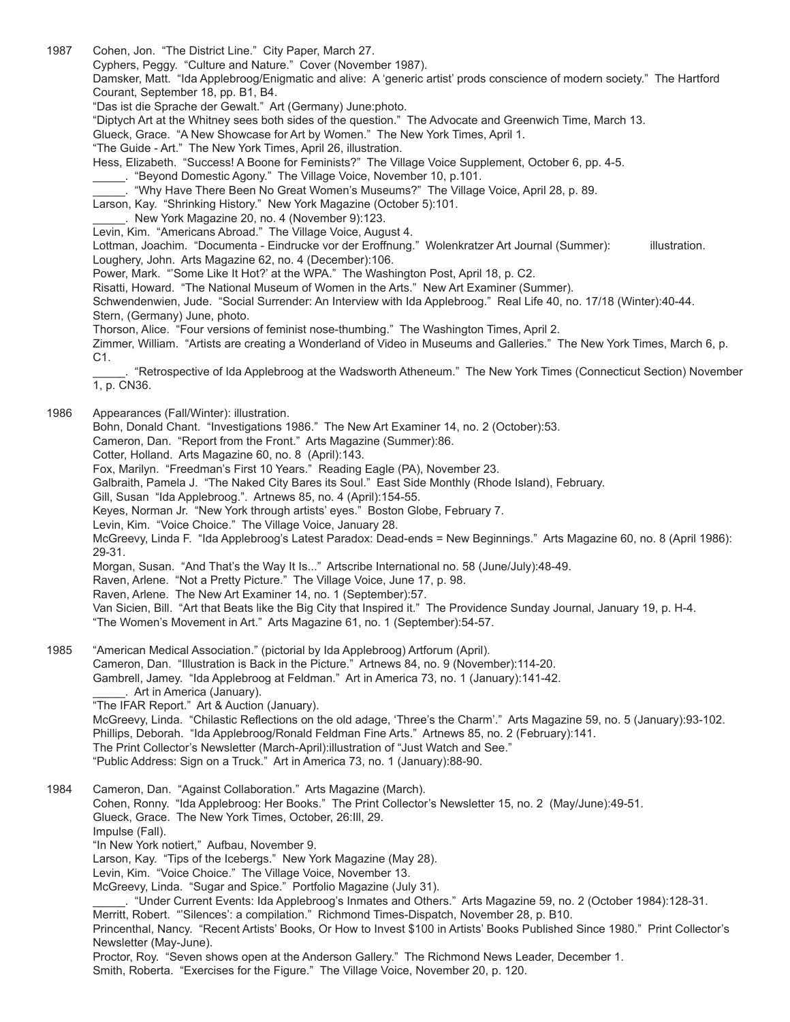1987 Cohen, Jon. "The District Line." City Paper, March 27.

Cyphers, Peggy. "Culture and Nature." Cover (November 1987).

Damsker, Matt. "Ida Applebroog/Enigmatic and alive: A 'generic artist' prods conscience of modern society." The Hartford Courant, September 18, pp. B1, B4.

"Das ist die Sprache der Gewalt." Art (Germany) June:photo.

"Diptych Art at the Whitney sees both sides of the question." The Advocate and Greenwich Time, March 13.

Glueck, Grace. "A New Showcase for Art by Women." The New York Times, April 1.

"The Guide - Art." The New York Times, April 26, illustration.

Hess, Elizabeth. "Success! A Boone for Feminists?" The Village Voice Supplement, October 6, pp. 4-5.

\_\_\_\_\_. "Beyond Domestic Agony." The Village Voice, November 10, p.101.

\_\_\_\_\_. "Why Have There Been No Great Women's Museums?" The Village Voice, April 28, p. 89.

Larson, Kay. "Shrinking History." New York Magazine (October 5):101.

\_\_\_\_\_. New York Magazine 20, no. 4 (November 9):123.

Levin, Kim. "Americans Abroad." The Village Voice, August 4.

Lottman, Joachim. "Documenta - Eindrucke vor der Eroffnung." Wolenkratzer Art Journal (Summer): illustration. Loughery, John. Arts Magazine 62, no. 4 (December):106.

Power, Mark. "'Some Like It Hot?' at the WPA." The Washington Post, April 18, p. C2.

Risatti, Howard. "The National Museum of Women in the Arts." New Art Examiner (Summer).

Schwendenwien, Jude. "Social Surrender: An Interview with Ida Applebroog." Real Life 40, no. 17/18 (Winter):40-44. Stern, (Germany) June, photo.

Thorson, Alice. "Four versions of feminist nose-thumbing." The Washington Times, April 2.

Zimmer, William. "Artists are creating a Wonderland of Video in Museums and Galleries." The New York Times, March 6, p. C1.

\_\_\_\_\_. "Retrospective of Ida Applebroog at the Wadsworth Atheneum." The New York Times (Connecticut Section) November 1, p. CN36.

1986 Appearances (Fall/Winter): illustration.

Bohn, Donald Chant. "Investigations 1986." The New Art Examiner 14, no. 2 (October):53.

Cameron, Dan. "Report from the Front." Arts Magazine (Summer):86.

Cotter, Holland. Arts Magazine 60, no. 8 (April):143.

Fox, Marilyn. "Freedman's First 10 Years." Reading Eagle (PA), November 23.

Galbraith, Pamela J. "The Naked City Bares its Soul." East Side Monthly (Rhode Island), February.

Gill, Susan "Ida Applebroog.". Artnews 85, no. 4 (April):154-55.

Keyes, Norman Jr. "New York through artists' eyes." Boston Globe, February 7.

Levin, Kim. "Voice Choice." The Village Voice, January 28.

McGreevy, Linda F. "Ida Applebroog's Latest Paradox: Dead-ends = New Beginnings." Arts Magazine 60, no. 8 (April 1986): 29-31.

Morgan, Susan. "And That's the Way It Is..." Artscribe International no. 58 (June/July):48-49.

Raven, Arlene. "Not a Pretty Picture." The Village Voice, June 17, p. 98.

Raven, Arlene. The New Art Examiner 14, no. 1 (September):57.

Van Sicien, Bill. "Art that Beats like the Big City that Inspired it." The Providence Sunday Journal, January 19, p. H-4.

"The Women's Movement in Art." Arts Magazine 61, no. 1 (September):54-57.

1985 "American Medical Association." (pictorial by Ida Applebroog) Artforum (April). Cameron, Dan. "Illustration is Back in the Picture." Artnews 84, no. 9 (November):114-20. Gambrell, Jamey. "Ida Applebroog at Feldman." Art in America 73, no. 1 (January):141-42. \_\_\_\_\_. Art in America (January).

"The IFAR Report." Art & Auction (January).

McGreevy, Linda. "Chilastic Reflections on the old adage, 'Three's the Charm'." Arts Magazine 59, no. 5 (January):93-102. Phillips, Deborah. "Ida Applebroog/Ronald Feldman Fine Arts." Artnews 85, no. 2 (February):141. The Print Collector's Newsletter (March-April):illustration of "Just Watch and See."

"Public Address: Sign on a Truck." Art in America 73, no. 1 (January):88-90.

1984 Cameron, Dan. "Against Collaboration." Arts Magazine (March). Cohen, Ronny. "Ida Applebroog: Her Books." The Print Collector's Newsletter 15, no. 2 (May/June):49-51. Glueck, Grace. The New York Times, October, 26:Ill, 29. Impulse (Fall). "In New York notiert," Aufbau, November 9. Larson, Kay. "Tips of the Icebergs." New York Magazine (May 28). Levin, Kim. "Voice Choice." The Village Voice, November 13. McGreevy, Linda. "Sugar and Spice." Portfolio Magazine (July 31). \_\_\_\_\_. "Under Current Events: Ida Applebroog's Inmates and Others." Arts Magazine 59, no. 2 (October 1984):128-31. Merritt, Robert. "'Silences': a compilation." Richmond Times-Dispatch, November 28, p. B10. Princenthal, Nancy. "Recent Artists' Books, Or How to Invest \$100 in Artists' Books Published Since 1980." Print Collector's Newsletter (May-June). Proctor, Roy. "Seven shows open at the Anderson Gallery." The Richmond News Leader, December 1.

Smith, Roberta. "Exercises for the Figure." The Village Voice, November 20, p. 120.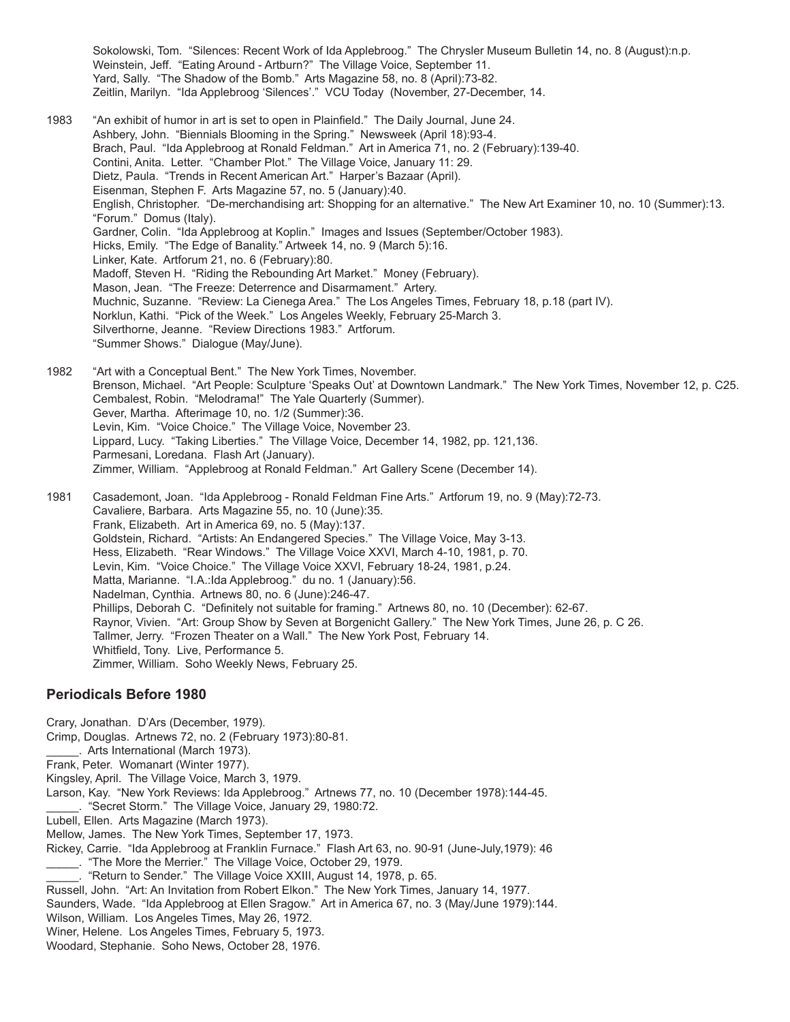Sokolowski, Tom. "Silences: Recent Work of Ida Applebroog." The Chrysler Museum Bulletin 14, no. 8 (August):n.p. Weinstein, Jeff. "Eating Around - Artburn?" The Village Voice, September 11. Yard, Sally. "The Shadow of the Bomb." Arts Magazine 58, no. 8 (April):73-82. Zeitlin, Marilyn. "Ida Applebroog 'Silences'." VCU Today (November, 27-December, 14.

- 1983 "An exhibit of humor in art is set to open in Plainfield." The Daily Journal, June 24. Ashbery, John. "Biennials Blooming in the Spring." Newsweek (April 18):93-4. Brach, Paul. "Ida Applebroog at Ronald Feldman." Art in America 71, no. 2 (February):139-40. Contini, Anita. Letter. "Chamber Plot." The Village Voice, January 11: 29. Dietz, Paula. "Trends in Recent American Art." Harper's Bazaar (April). Eisenman, Stephen F. Arts Magazine 57, no. 5 (January):40. English, Christopher. "De-merchandising art: Shopping for an alternative." The New Art Examiner 10, no. 10 (Summer):13. "Forum." Domus (Italy). Gardner, Colin. "Ida Applebroog at Koplin." Images and Issues (September/October 1983). Hicks, Emily. "The Edge of Banality." Artweek 14, no. 9 (March 5):16. Linker, Kate. Artforum 21, no. 6 (February):80. Madoff, Steven H. "Riding the Rebounding Art Market." Money (February). Mason, Jean. "The Freeze: Deterrence and Disarmament." Artery. Muchnic, Suzanne. "Review: La Cienega Area." The Los Angeles Times, February 18, p.18 (part IV). Norklun, Kathi. "Pick of the Week." Los Angeles Weekly, February 25-March 3. Silverthorne, Jeanne. "Review Directions 1983." Artforum. "Summer Shows." Dialogue (May/June).
- 1982 "Art with a Conceptual Bent." The New York Times, November. Brenson, Michael. "Art People: Sculpture 'Speaks Out' at Downtown Landmark." The New York Times, November 12, p. C25. Cembalest, Robin. "Melodrama!" The Yale Quarterly (Summer). Gever, Martha. Afterimage 10, no. 1/2 (Summer):36. Levin, Kim. "Voice Choice." The Village Voice, November 23. Lippard, Lucy. "Taking Liberties." The Village Voice, December 14, 1982, pp. 121,136. Parmesani, Loredana. Flash Art (January). Zimmer, William. "Applebroog at Ronald Feldman." Art Gallery Scene (December 14).
- 1981 Casademont, Joan. "Ida Applebroog Ronald Feldman Fine Arts." Artforum 19, no. 9 (May):72-73. Cavaliere, Barbara. Arts Magazine 55, no. 10 (June):35. Frank, Elizabeth. Art in America 69, no. 5 (May):137. Goldstein, Richard. "Artists: An Endangered Species." The Village Voice, May 3-13. Hess, Elizabeth. "Rear Windows." The Village Voice XXVI, March 4-10, 1981, p. 70. Levin, Kim. "Voice Choice." The Village Voice XXVI, February 18-24, 1981, p.24. Matta, Marianne. "I.A.:Ida Applebroog." du no. 1 (January):56. Nadelman, Cynthia. Artnews 80, no. 6 (June):246-47. Phillips, Deborah C. "Definitely not suitable for framing." Artnews 80, no. 10 (December): 62-67. Raynor, Vivien. "Art: Group Show by Seven at Borgenicht Gallery." The New York Times, June 26, p. C 26. Tallmer, Jerry. "Frozen Theater on a Wall." The New York Post, February 14. Whitfield, Tony. Live, Performance 5. Zimmer, William. Soho Weekly News, February 25.

#### **Periodicals Before 1980**

Crary, Jonathan. D'Ars (December, 1979). Crimp, Douglas. Artnews 72, no. 2 (February 1973):80-81.

. Arts International (March 1973).

- Frank, Peter. Womanart (Winter 1977).
- Kingsley, April. The Village Voice, March 3, 1979.
- Larson, Kay. "New York Reviews: Ida Applebroog." Artnews 77, no. 10 (December 1978):144-45.
- "Secret Storm." The Village Voice, January 29, 1980:72.
- Lubell, Ellen. Arts Magazine (March 1973).

Mellow, James. The New York Times, September 17, 1973.

Rickey, Carrie. "Ida Applebroog at Franklin Furnace." Flash Art 63, no. 90-91 (June-July,1979): 46

\_\_\_\_\_. "The More the Merrier." The Village Voice, October 29, 1979.

"Return to Sender." The Village Voice XXIII, August 14, 1978, p. 65.

Russell, John. "Art: An Invitation from Robert Elkon." The New York Times, January 14, 1977.

- Saunders, Wade. "Ida Applebroog at Ellen Sragow." Art in America 67, no. 3 (May/June 1979):144.
- Wilson, William. Los Angeles Times, May 26, 1972.

Winer, Helene. Los Angeles Times, February 5, 1973.

Woodard, Stephanie. Soho News, October 28, 1976.